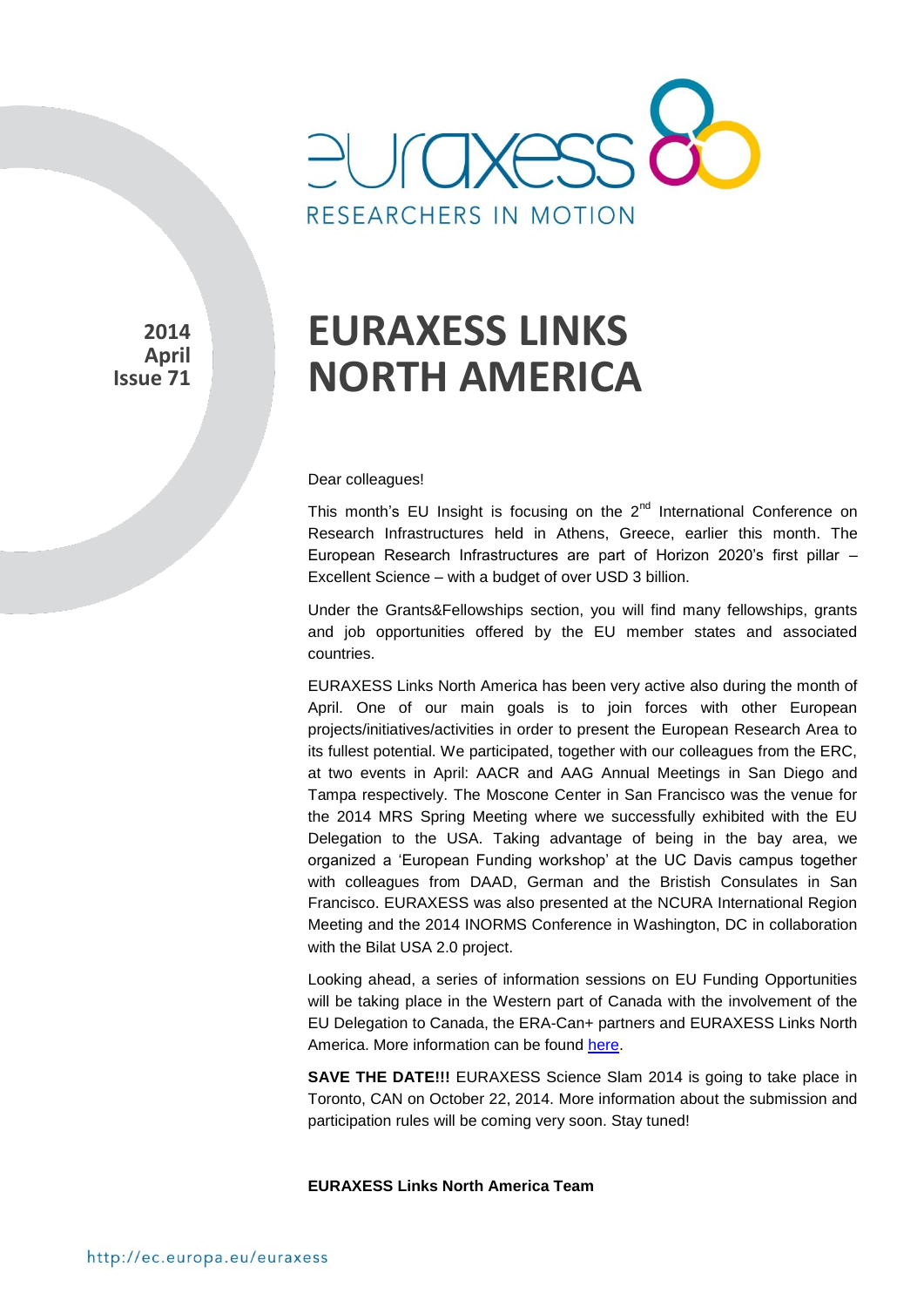

**2014 April Issue 71** 

# **EURAXESS LINKS NORTH AMERICA**

Dear colleagues!

This month's EU Insight is focusing on the 2<sup>nd</sup> International Conference on Research Infrastructures held in Athens, Greece, earlier this month. The European Research Infrastructures are part of Horizon 2020's first pillar – Excellent Science – with a budget of over USD 3 billion.

Under the Grants&Fellowships section, you will find many fellowships, grants and iob opportunities offered by the EU member states and associated countries.

EURAXESS Links North America has been very active also during the month of April. One of our main goals is to join forces with other European projects/initiatives/activities in order to present the European Research Area to its fullest potential. We participated, together with our colleagues from the ERC, at two events in April: AACR and AAG Annual Meetings in San Diego and Tampa respectively. The Moscone Center in San Francisco was the venue for the 2014 MRS Spring Meeting where we successfully exhibited with the EU Delegation to the USA. Taking advantage of being in the bay area, we organized a 'European Funding workshop' at the UC Davis campus together with colleagues from DAAD, German and the Bristish Consulates in San Francisco. EURAXESS was also presented at the NCURA International Region Meeting and the 2014 INORMS Conference in Washington, DC in collaboration with the Bilat USA 2.0 project.

Looking ahead, a series of information sessions on EU Funding Opportunities will be taking place in the Western part of Canada with the involvement of the EU Delegation to Canada, the ERA-Can+ partners and EURAXESS Links North America. More information can be found [here.](http://www.era-can.net/?p=73508)

**SAVE THE DATE!!!** EURAXESS Science Slam 2014 is going to take place in Toronto, CAN on October 22, 2014. More information about the submission and participation rules will be coming very soon. Stay tuned!

**EURAXESS Links North America Team**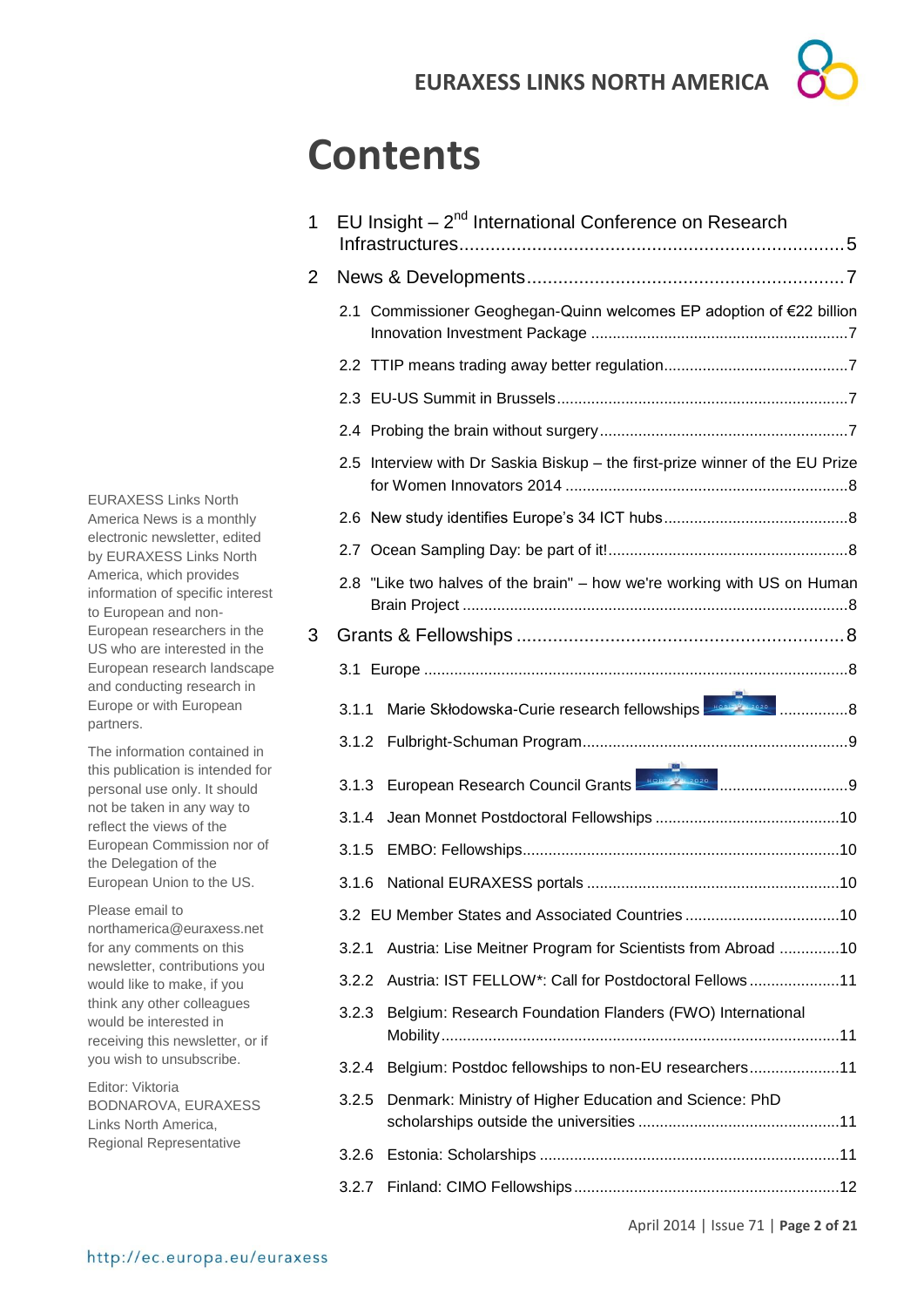# **Contents**

| 1              | EU Insight - 2 <sup>nd</sup> International Conference on Research            |                                                                         |  |  |
|----------------|------------------------------------------------------------------------------|-------------------------------------------------------------------------|--|--|
| $\overline{2}$ |                                                                              |                                                                         |  |  |
|                |                                                                              | 2.1 Commissioner Geoghegan-Quinn welcomes EP adoption of €22 billion    |  |  |
|                |                                                                              |                                                                         |  |  |
|                |                                                                              |                                                                         |  |  |
|                |                                                                              |                                                                         |  |  |
|                | 2.5 Interview with Dr Saskia Biskup - the first-prize winner of the EU Prize |                                                                         |  |  |
|                |                                                                              |                                                                         |  |  |
|                |                                                                              |                                                                         |  |  |
|                |                                                                              | 2.8 "Like two halves of the brain" - how we're working with US on Human |  |  |
| 3              |                                                                              |                                                                         |  |  |
|                |                                                                              |                                                                         |  |  |
|                | 3.1.1                                                                        |                                                                         |  |  |
|                | 3.1.2                                                                        |                                                                         |  |  |
|                | 3.1.3                                                                        | European Research Council Grants <b>From Research Council Grants</b>    |  |  |
|                | 3.1.4                                                                        |                                                                         |  |  |
|                | 3.1.5                                                                        |                                                                         |  |  |
|                | 3.1.6                                                                        |                                                                         |  |  |
|                |                                                                              |                                                                         |  |  |
|                | 3.2.1                                                                        | Austria: Lise Meitner Program for Scientists from Abroad 10             |  |  |
|                | 3.2.2                                                                        | Austria: IST FELLOW*: Call for Postdoctoral Fellows11                   |  |  |
|                | 3.2.3                                                                        | Belgium: Research Foundation Flanders (FWO) International               |  |  |
|                | 3.2.4                                                                        | Belgium: Postdoc fellowships to non-EU researchers11                    |  |  |
|                | 3.2.5                                                                        | Denmark: Ministry of Higher Education and Science: PhD                  |  |  |
|                | 3.2.6                                                                        |                                                                         |  |  |
|                | 3.2.7                                                                        |                                                                         |  |  |

EURAXESS Links North America News is a monthly electronic newsletter, edited by EURAXESS Links North America, which provides information of specific interest to European and non-European researchers in the US who are interested in the European research landscape and conducting research in Europe or with European partners.

The information contained in this publication is intended for personal use only. It should not be taken in any way to reflect the views of the European Commission nor of the Delegation of the European Union to the US.

Please email to northamerica@euraxess.net for any comments on this newsletter, contributions you would like to make, if you think any other colleagues would be interested in receiving this newsletter, or if you wish to unsubscribe.

Editor: Viktoria BODNAROVA, EURAXESS Links North America, Regional Representative

April 2014 | Issue 71 | **Page 2 of 21**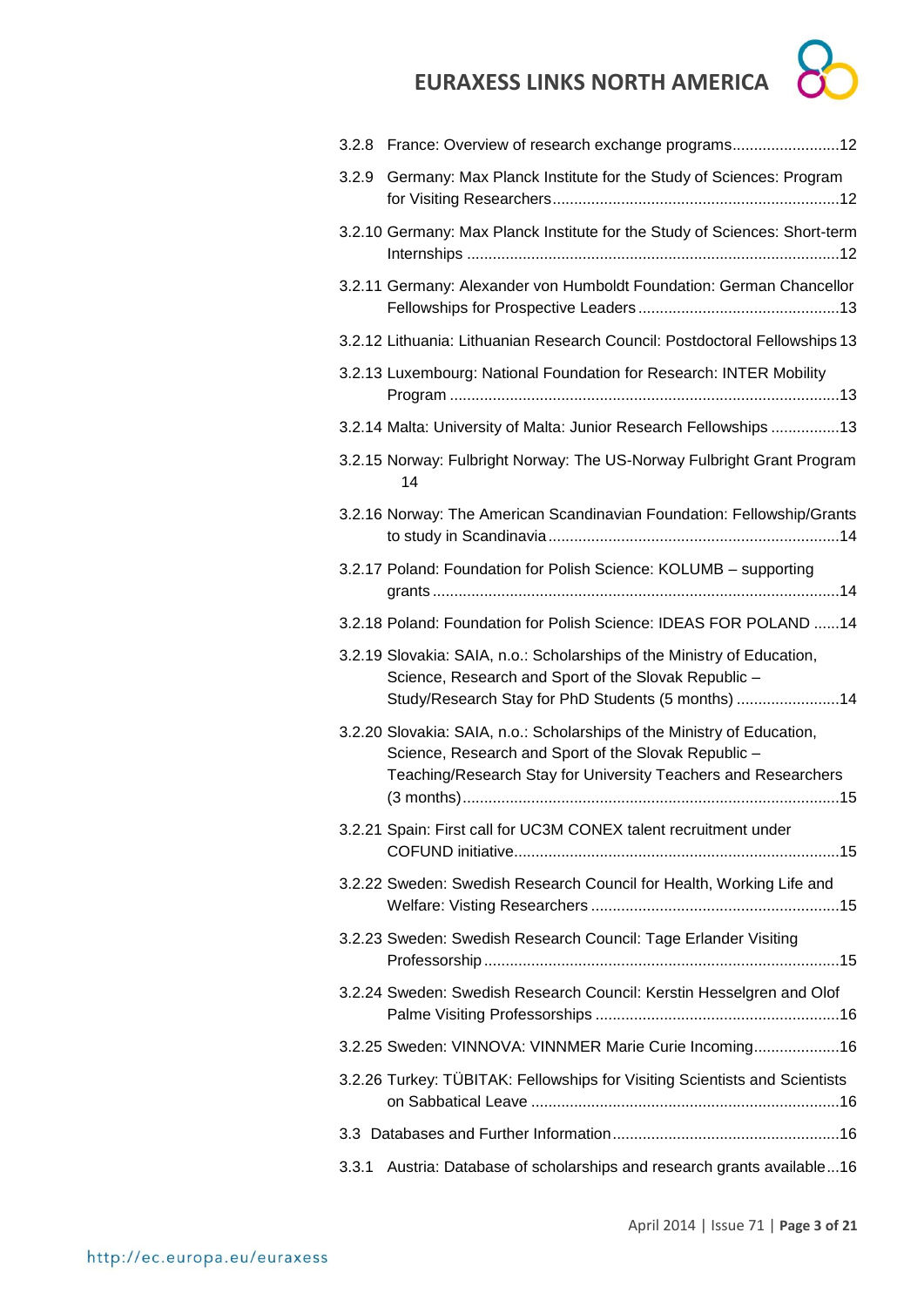

| 3.2.8 | France: Overview of research exchange programs12                                                                                                                                                  |
|-------|---------------------------------------------------------------------------------------------------------------------------------------------------------------------------------------------------|
| 3.2.9 | Germany: Max Planck Institute for the Study of Sciences: Program                                                                                                                                  |
|       | 3.2.10 Germany: Max Planck Institute for the Study of Sciences: Short-term                                                                                                                        |
|       | 3.2.11 Germany: Alexander von Humboldt Foundation: German Chancellor                                                                                                                              |
|       | 3.2.12 Lithuania: Lithuanian Research Council: Postdoctoral Fellowships 13                                                                                                                        |
|       | 3.2.13 Luxembourg: National Foundation for Research: INTER Mobility                                                                                                                               |
|       | 3.2.14 Malta: University of Malta: Junior Research Fellowships 13                                                                                                                                 |
|       | 3.2.15 Norway: Fulbright Norway: The US-Norway Fulbright Grant Program<br>14                                                                                                                      |
|       | 3.2.16 Norway: The American Scandinavian Foundation: Fellowship/Grants                                                                                                                            |
|       | 3.2.17 Poland: Foundation for Polish Science: KOLUMB - supporting                                                                                                                                 |
|       | 3.2.18 Poland: Foundation for Polish Science: IDEAS FOR POLAND  14                                                                                                                                |
|       | 3.2.19 Slovakia: SAIA, n.o.: Scholarships of the Ministry of Education,<br>Science, Research and Sport of the Slovak Republic -<br>Study/Research Stay for PhD Students (5 months) 14             |
|       | 3.2.20 Slovakia: SAIA, n.o.: Scholarships of the Ministry of Education,<br>Science, Research and Sport of the Slovak Republic -<br>Teaching/Research Stay for University Teachers and Researchers |
|       | 3.2.21 Spain: First call for UC3M CONEX talent recruitment under                                                                                                                                  |
|       | 3.2.22 Sweden: Swedish Research Council for Health, Working Life and                                                                                                                              |
|       | 3.2.23 Sweden: Swedish Research Council: Tage Erlander Visiting                                                                                                                                   |
|       | 3.2.24 Sweden: Swedish Research Council: Kerstin Hesselgren and Olof                                                                                                                              |
|       | 3.2.25 Sweden: VINNOVA: VINNMER Marie Curie Incoming 16                                                                                                                                           |
|       | 3.2.26 Turkey: TÜBITAK: Fellowships for Visiting Scientists and Scientists                                                                                                                        |
|       |                                                                                                                                                                                                   |
| 3.3.1 | Austria: Database of scholarships and research grants available16                                                                                                                                 |
|       |                                                                                                                                                                                                   |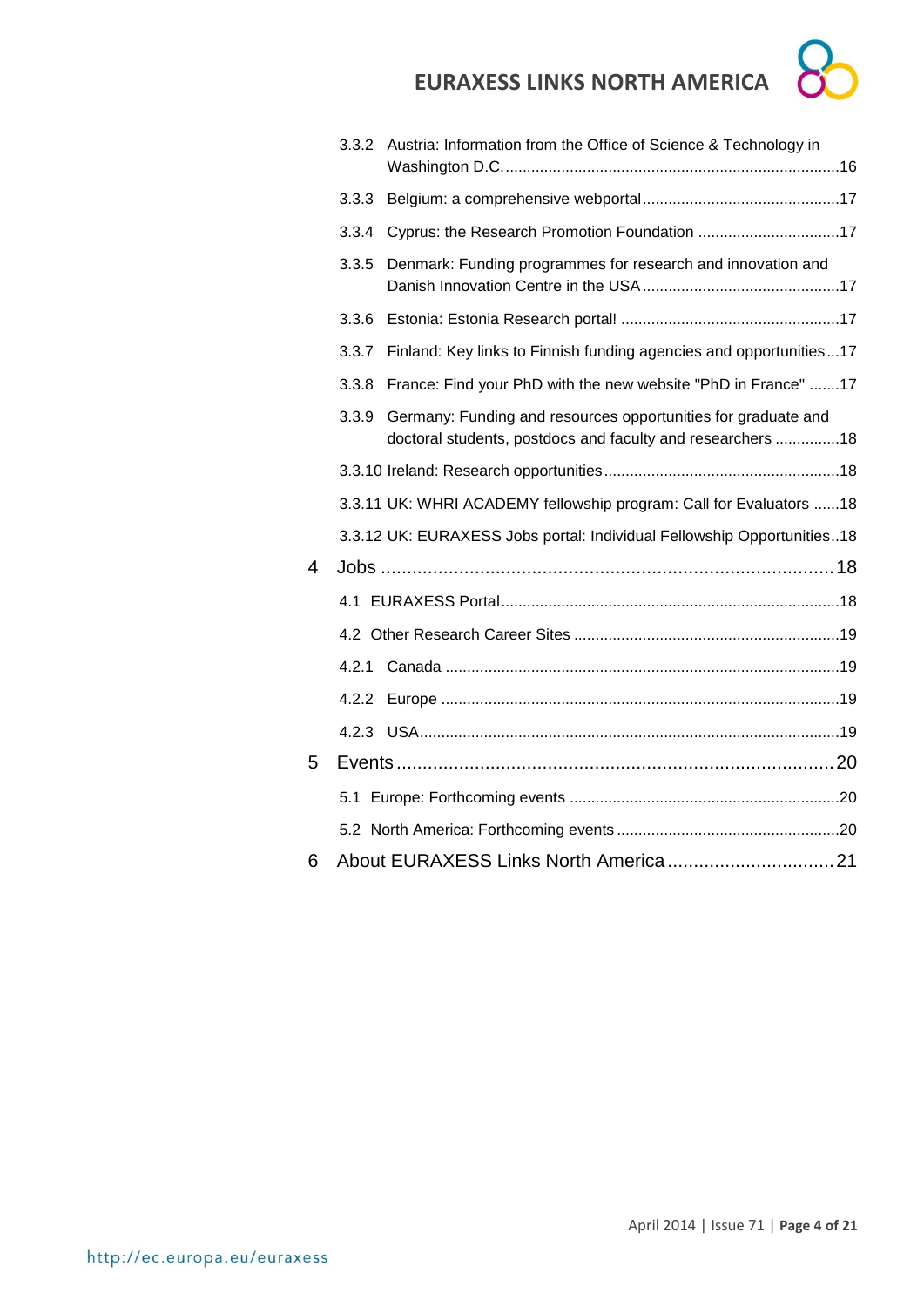

|   | 3.3.2 | Austria: Information from the Office of Science & Technology in                                                              |  |
|---|-------|------------------------------------------------------------------------------------------------------------------------------|--|
|   | 3.3.3 |                                                                                                                              |  |
|   | 3.3.4 | Cyprus: the Research Promotion Foundation 17                                                                                 |  |
|   | 3.3.5 | Denmark: Funding programmes for research and innovation and                                                                  |  |
|   | 3.3.6 |                                                                                                                              |  |
|   | 3.3.7 | Finland: Key links to Finnish funding agencies and opportunities17                                                           |  |
|   | 3.3.8 | France: Find your PhD with the new website "PhD in France" 17                                                                |  |
|   | 3.3.9 | Germany: Funding and resources opportunities for graduate and<br>doctoral students, postdocs and faculty and researchers  18 |  |
|   |       |                                                                                                                              |  |
|   |       | 3.3.11 UK: WHRI ACADEMY fellowship program: Call for Evaluators  18                                                          |  |
|   |       | 3.3.12 UK: EURAXESS Jobs portal: Individual Fellowship Opportunities18                                                       |  |
| 4 |       |                                                                                                                              |  |
|   |       |                                                                                                                              |  |
|   |       |                                                                                                                              |  |
|   |       |                                                                                                                              |  |
|   | 4.2.2 |                                                                                                                              |  |
|   | 4.2.3 |                                                                                                                              |  |
| 5 |       |                                                                                                                              |  |
|   |       |                                                                                                                              |  |
|   |       |                                                                                                                              |  |
| 6 |       |                                                                                                                              |  |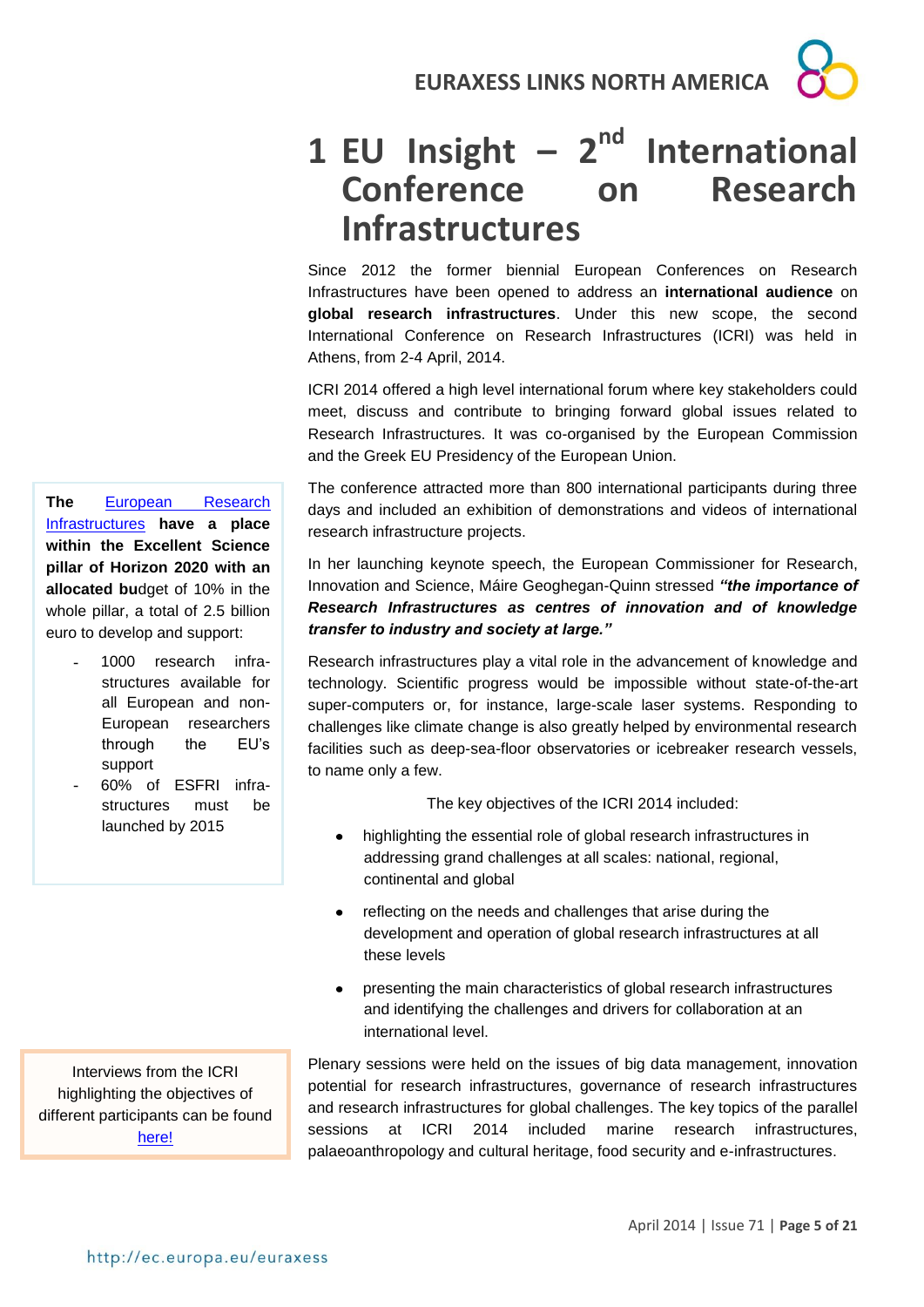# 1 **EU** Insight - 2<sup>nd</sup> International **Conference on Research Infrastructures**

Since 2012 the former biennial European Conferences on Research Infrastructures have been opened to address an **international audience** on **global research infrastructures**. Under this new scope, the second International Conference on Research Infrastructures (ICRI) was held in Athens, from 2-4 April, 2014.

ICRI 2014 offered a high level international forum where key stakeholders could meet, discuss and contribute to bringing forward global issues related to Research Infrastructures. It was co-organised by the European Commission and the Greek EU Presidency of the European Union.

The conference attracted more than 800 international participants during three days and included an exhibition of demonstrations and videos of international research infrastructure projects.

In her launching keynote speech, the European Commissioner for Research, Innovation and Science, Máire Geoghegan-Quinn stressed *"the importance of Research Infrastructures as centres of innovation and of knowledge transfer to industry and society at large."* 

Research infrastructures play a vital role in the advancement of knowledge and technology. Scientific progress would be impossible without state-of-the-art super-computers or, for instance, large-scale laser systems. Responding to challenges like climate change is also greatly helped by environmental research facilities such as deep-sea-floor observatories or icebreaker research vessels, to name only a few.

The key objectives of the ICRI 2014 included:

- highlighting the essential role of global research infrastructures in addressing grand challenges at all scales: national, regional, continental and global
- reflecting on the needs and challenges that arise during the  $\bullet$ development and operation of global research infrastructures at all these levels
- presenting the main characteristics of global research infrastructures and identifying the challenges and drivers for collaboration at an international level.

Plenary sessions were held on the issues of big data management, innovation potential for research infrastructures, governance of research infrastructures and research infrastructures for global challenges. The key topics of the parallel sessions at ICRI 2014 included marine research infrastructures, palaeoanthropology and cultural heritage, food security and e-infrastructures.

**The** [European Research](http://ec.europa.eu/programmes/horizon2020/en/h2020-section/european-research-infrastructures-including-e-infrastructures)  [Infrastructures](http://ec.europa.eu/programmes/horizon2020/en/h2020-section/european-research-infrastructures-including-e-infrastructures) **have a place within the Excellent Science pillar of Horizon 2020 with an allocated bu**dget of 10% in the whole pillar, a total of 2.5 billion euro to develop and support:

- 1000 research infrastructures available for all European and non-European researchers through the EU's support
- 60% of ESFRI infrastructures must be launched by 2015

Interviews from the ICRI highlighting the objectives of different participants can be found [here!](http://www.youtube.com/watch?v=HkVi8elBH94&list=PLUJ9-fK9n4d8TvAg_0HALGf8-D2_VEvPt)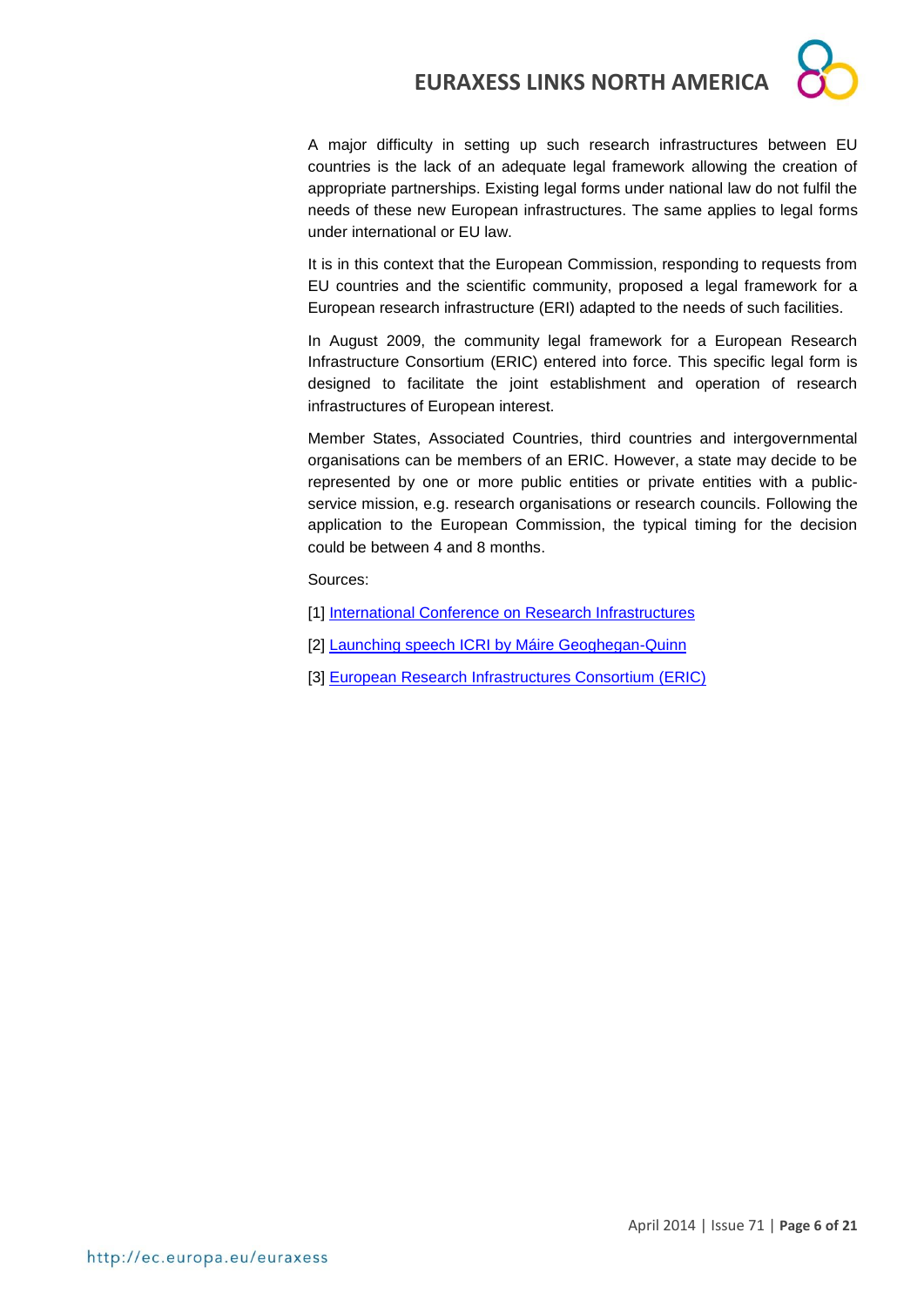

A major difficulty in setting up such research infrastructures between EU countries is the lack of an adequate legal framework allowing the creation of appropriate partnerships. Existing legal forms under national law do not fulfil the needs of these new European infrastructures. The same applies to legal forms under international or EU law.

It is in this context that the European Commission, responding to requests from EU countries and the scientific community, proposed a legal framework for a European research infrastructure (ERI) adapted to the needs of such facilities.

In August 2009, the community legal framework for a European Research Infrastructure Consortium (ERIC) entered into force. This specific legal form is designed to facilitate the joint establishment and operation of research infrastructures of European interest.

Member States, Associated Countries, third countries and intergovernmental organisations can be members of an ERIC. However, a state may decide to be represented by one or more public entities or private entities with a publicservice mission, e.g. research organisations or research councils. Following the application to the European Commission, the typical timing for the decision could be between 4 and 8 months.

Sources:

- [1] [International Conference on Research Infrastructures](http://www.icri2014.eu/)
- [2] [Launching speech ICRI by Máire Geoghegan-Quinn](http://europa.eu/rapid/press-release_SPEECH-14-277_en.htm)
- [3] [European Research Infrastructures Consortium \(ERIC\)](http://ec.europa.eu/research/infrastructures/index_en.cfm?pg=eric)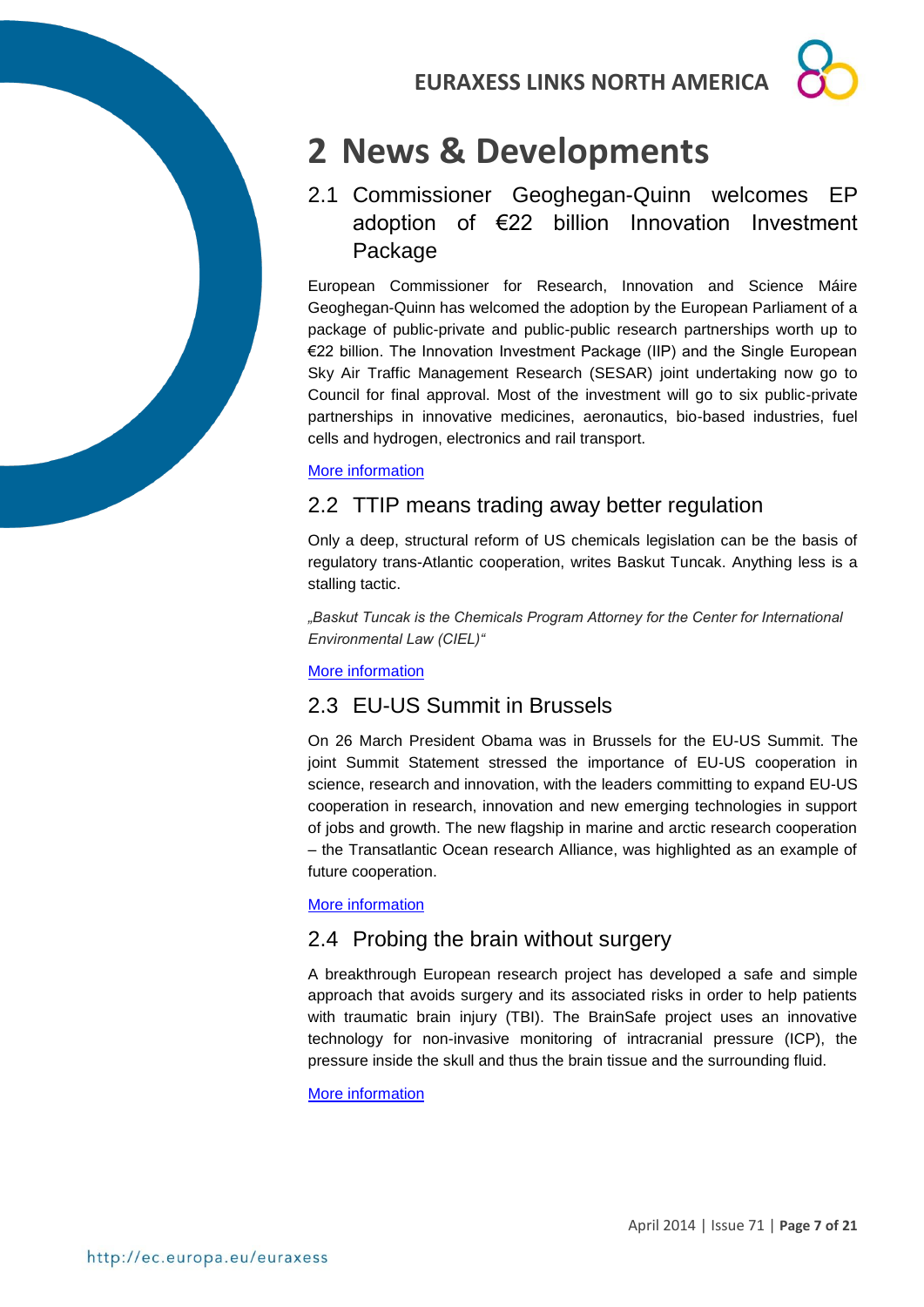# **2 News & Developments**

# 2.1 Commissioner Geoghegan-Quinn welcomes EP adoption of €22 billion Innovation Investment Package

European Commissioner for Research, Innovation and Science Máire Geoghegan-Quinn has welcomed the adoption by the European Parliament of a package of public-private and public-public research partnerships worth up to €22 billion. The Innovation Investment Package (IIP) and the Single European Sky Air Traffic Management Research (SESAR) joint undertaking now go to Council for final approval. Most of the investment will go to six public-private partnerships in innovative medicines, aeronautics, bio-based industries, fuel cells and hydrogen, electronics and rail transport.

# [More information](http://europa.eu/rapid/press-release_STATEMENT-14-128_en.htm)

# 2.2 TTIP means trading away better regulation

Only a deep, structural reform of US chemicals legislation can be the basis of regulatory trans-Atlantic cooperation, writes Baskut Tuncak. Anything less is a stalling tactic.

*"Baskut Tuncak is the Chemicals Program Attorney for the Center for International Environmental Law (CIEL)"*

# [More information](http://www.euractiv.com/sections/science-policymaking/ttip-means-trading-away-better-regulation-301454)

# 2.3 EU-US Summit in Brussels

On 26 March President Obama was in Brussels for the EU-US Summit. The joint Summit Statement stressed the importance of EU-US cooperation in science, research and innovation, with the leaders committing to expand EU-US cooperation in research, innovation and new emerging technologies in support of jobs and growth. The new flagship in marine and arctic research cooperation – the Transatlantic Ocean research Alliance, was highlighted as an example of future cooperation.

## [More information](http://ec.europa.eu/research/iscp/pdf/newsletter/newsletter_number_44_april_2014_.pdf#view=fit&pagemode=none)

# 2.4 Probing the brain without surgery

A breakthrough European research project has developed a safe and simple approach that avoids surgery and its associated risks in order to help patients with traumatic brain injury (TBI). The BrainSafe project uses an innovative technology for non-invasive monitoring of intracranial pressure (ICP), the pressure inside the skull and thus the brain tissue and the surrounding fluid.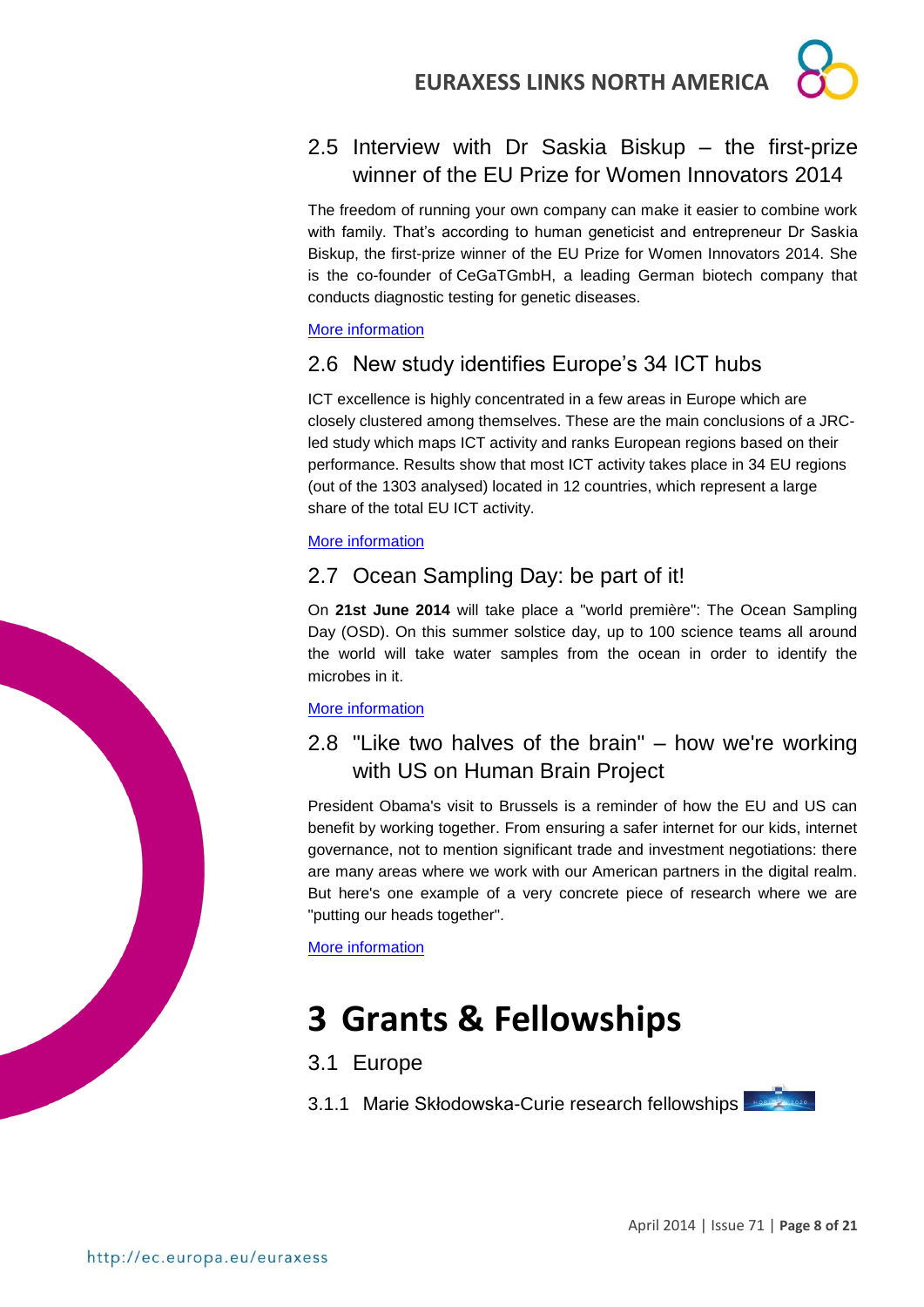

# 2.5 Interview with Dr Saskia Biskup – the first-prize winner of the EU Prize for Women Innovators 2014

The freedom of running your own company can make it easier to combine work with family. That's according to human geneticist and entrepreneur Dr Saskia Biskup, the first-prize winner of the EU Prize for Women Innovators 2014. She is the co-founder of CeGaTGmbH, a leading German biotech company that conducts diagnostic testing for genetic diseases.

## [More information](http://horizon-magazine.eu/article/being-your-own-boss-benefits-career-family-dr-saskia-biskup_en.html)

# 2.6 New study identifies Europe's 34 ICT hubs

ICT excellence is highly concentrated in a few areas in Europe which are closely clustered among themselves. These are the main conclusions of a JRCled study which maps ICT activity and ranks European regions based on their performance. Results show that most ICT activity takes place in 34 EU regions (out of the 1303 analysed) located in 12 countries, which represent a large share of the total EU ICT activity.

# More information

# 2.7 Ocean Sampling Day: be part of it!

On **21st June 2014** will take place a "world première": The Ocean Sampling Day (OSD). On this summer solstice day, up to 100 science teams all around the world will take water samples from the ocean in order to identify the microbes in it.

## [More information](http://ec.europa.eu/programmes/horizon2020/en/news/ocean-sampling-day-be-part-it)

# 2.8 "Like two halves of the brain" – how we're working with US on Human Brain Project

President Obama's visit to Brussels is a reminder of how the EU and US can benefit by working together. From ensuring a safer internet for our kids, internet governance, not to mention significant trade and investment negotiations: there are many areas where we work with our American partners in the digital realm. But here's one example of a very concrete piece of research where we are "putting our heads together".

[More information](https://ec.europa.eu/commission_2010-2014/kroes/en/content/two-halves-brain-how-were-working-us)

# **3 Grants & Fellowships**

# 3.1 Europe

3.1.1 Marie Skłodowska-Curie research fellowships

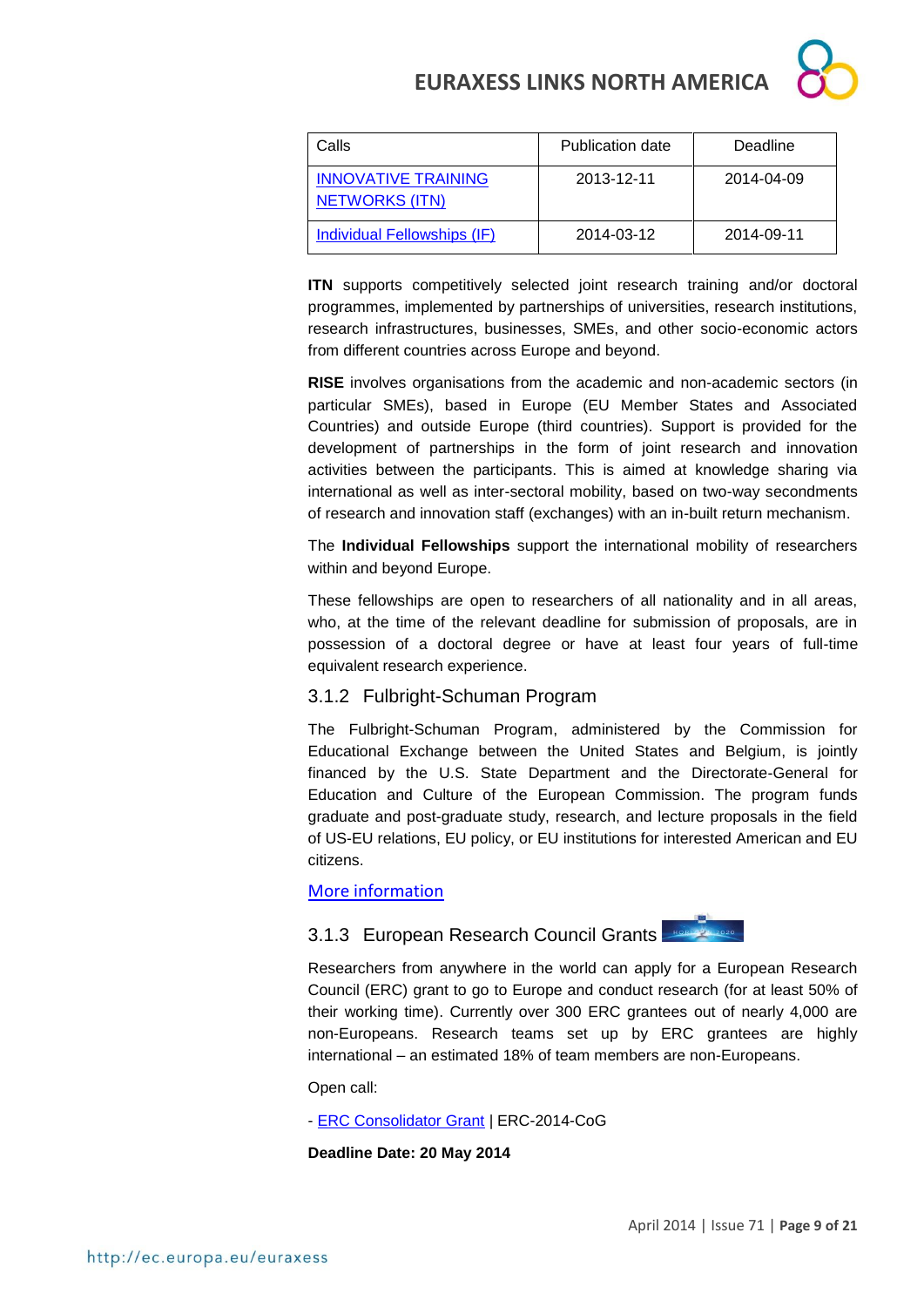

| Calls                                               | <b>Publication date</b> | Deadline   |
|-----------------------------------------------------|-------------------------|------------|
| <b>INNOVATIVE TRAINING</b><br><b>NETWORKS (ITN)</b> | 2013-12-11              | 2014-04-09 |
| Individual Fellowships (IF)                         | 2014-03-12              | 2014-09-11 |

**ITN** supports competitively selected joint research training and/or doctoral programmes, implemented by partnerships of universities, research institutions, research infrastructures, businesses, SMEs, and other socio-economic actors from different countries across Europe and beyond.

**RISE** involves organisations from the academic and non-academic sectors (in particular SMEs), based in Europe (EU Member States and Associated Countries) and outside Europe (third countries). Support is provided for the development of partnerships in the form of joint research and innovation activities between the participants. This is aimed at knowledge sharing via international as well as inter-sectoral mobility, based on two-way secondments of research and innovation staff (exchanges) with an in-built return mechanism.

The **Individual Fellowships** support the international mobility of researchers within and beyond Europe.

These fellowships are open to researchers of all nationality and in all areas, who, at the time of the relevant deadline for submission of proposals, are in possession of a doctoral degree or have at least four years of full-time equivalent research experience.

# 3.1.2 Fulbright-Schuman Program

The Fulbright-Schuman Program, administered by the Commission for Educational Exchange between the United States and Belgium, is jointly financed by the U.S. State Department and the Directorate-General for Education and Culture of the European Commission. The program funds graduate and post-graduate study, research, and lecture proposals in the field of US-EU relations, EU policy, or EU institutions for interested American and EU citizens.

[More information](http://www.fulbrightschuman.eu/)

# 3.1.3 European Research Council Grants



Researchers from anywhere in the world can apply for a European Research Council (ERC) grant to go to Europe and conduct research (for at least 50% of their working time). Currently over 300 ERC grantees out of nearly 4,000 are non-Europeans. Research teams set up by ERC grantees are highly international – an estimated 18% of team members are non-Europeans.

Open call:

- [ERC Consolidator Grant](http://ec.europa.eu/research/participants/portal/desktop/en/opportunities/h2020/calls/erc-2014-cog.html) | ERC-2014-CoG

**Deadline Date: 20 May 2014**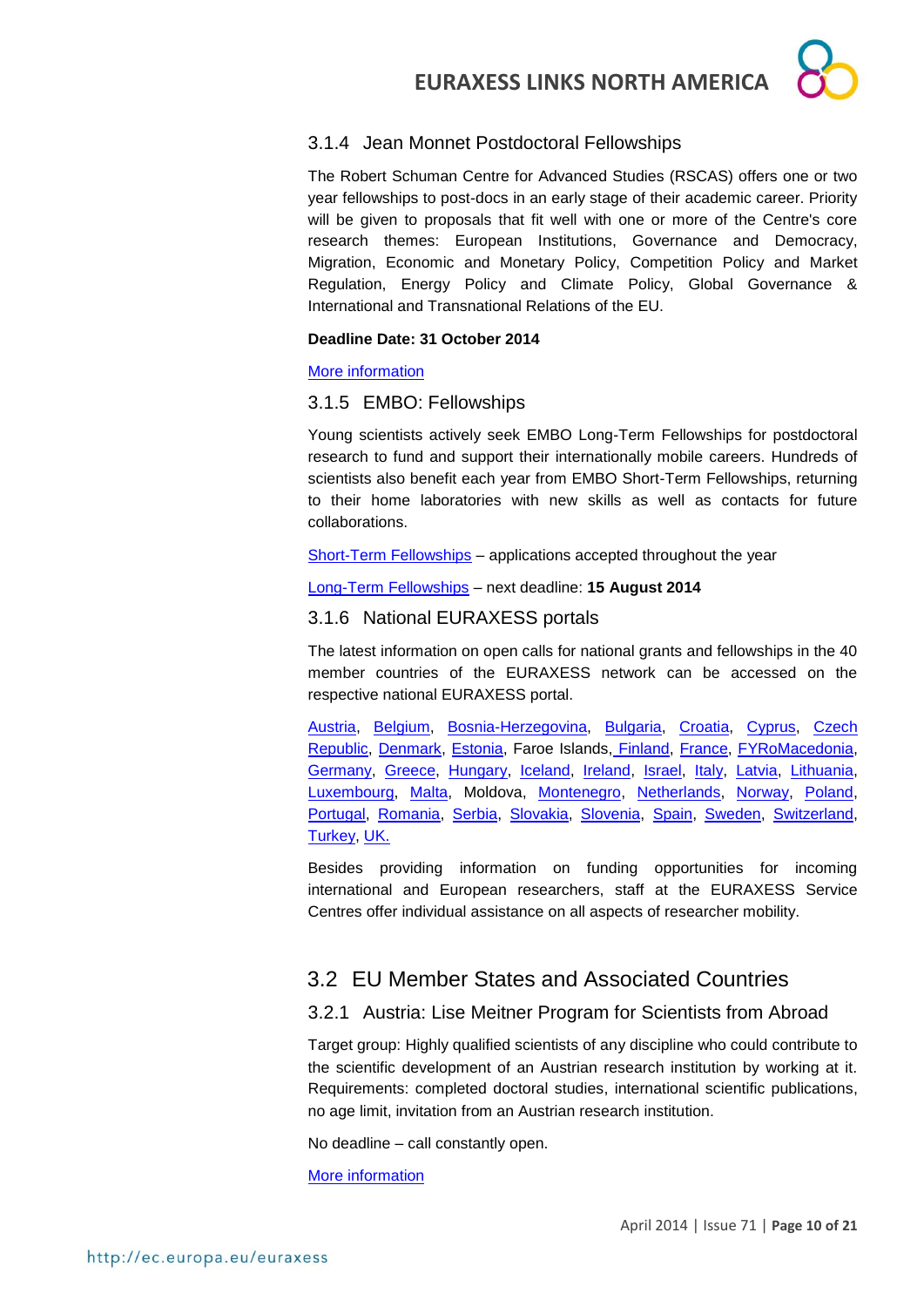# 3.1.4 Jean Monnet Postdoctoral Fellowships

The Robert Schuman Centre for Advanced Studies (RSCAS) offers one or two year fellowships to post-docs in an early stage of their academic career. Priority will be given to proposals that fit well with one or more of the Centre's core research themes: European Institutions, Governance and Democracy, Migration, Economic and Monetary Policy, Competition Policy and Market Regulation, Energy Policy and Climate Policy, Global Governance & International and Transnational Relations of the EU.

### **Deadline Date: 31 October 2014**

### [More information](http://www.eui.eu/ServicesAndAdmin/AcademicService/Fellowships/JeanMonnetFellowships/Index.aspx)

# 3.1.5 EMBO: Fellowships

Young scientists actively seek EMBO Long-Term Fellowships for postdoctoral research to fund and support their internationally mobile careers. Hundreds of scientists also benefit each year from EMBO Short-Term Fellowships, returning to their home laboratories with new skills as well as contacts for future collaborations.

[Short-Term Fellowships](http://www.embo.org/funding-awards/fellowships/short-term-fellowships) – applications accepted throughout the year

[Long-Term Fellowships](http://www.embo.org/funding-awards/fellowships/long-term-fellowships) – next deadline: **15 August 2014**

# 3.1.6 National EURAXESS portals

The latest information on open calls for national grants and fellowships in the 40 member countries of the EURAXESS network can be accessed on the respective national EURAXESS portal.

[Austria,](http://www.euraxess.at/funding/) [Belgium,](http://www.euraxess.be/) [Bosnia-Herzegovina,](http://www.euraxess.ba/index.php?sec=22) [Bulgaria,](http://euraxess.bg/category/services/funding) [Croatia,](http://www.euraxess.hr/sitegenius/topic.php?id=297) [Cyprus,](http://www.euraxess.org.cy/services.shtm) [Czech](http://www.euraxess.cz/euraxess-services/)  [Republic,](http://www.euraxess.cz/euraxess-services/) [Denmark,](http://euraxess.dk/research-funding) [Estonia,](http://euraxess.ee/grants-fellowships/) Faroe Islands, [Finland,](http://www.aka.fi/en-GB/Mobility/Research-funding2/) [France,](http://ec.europa.eu/euraxess/np/france/index_en.html) [FYRoMacedonia,](http://euraxess.mk/content/incoming-researchers) [Germany,](http://www.euraxess.de/portal/funding_database.html) [Greece,](http://library.certh.gr/pls/rmp/mobility.fellowships_grants) [Hungary,](http://euraxess-hungary.hu/en/fellowships-and-grants.html) [Iceland,](http://www.euraxess.is/fellowships-and-grants/) [Ireland,](http://www.euraxess.ie/academic/default.aspx) [Israel,](http://www.euraxess.gov.il/UI/Main/FellowshipsAndGrants.aspx) [Italy,](http://www.euraxess.it/services/types.php?pag=mobility_programs) [Latvia,](http://www.euraxess.lv/en/lapa/114/EURAXESS_Latvia_Services_Centre) [Lithuania,](http://www.euraxess.lt/content/grant.php) [Luxembourg,](http://www.euraxess.lu/eng/Funding) [Malta,](http://www.euraxess.org.mt/index.php/fellowships-a-grants) Moldova, [Montenegro,](http://www.euraxess.me/sitegenius/topic.php?id=276) [Netherlands,](http://www.euraxess.nl/service-centres) [Norway,](http://www.euraxess.no/prognett-euraxess/Funding/1229697992538) [Poland,](http://www.euraxess.pl/index.php/jobs) [Portugal,](http://www.euraxess.pt/services/) [Romania,](http://euraxess.gov.ro/en/research-funding.html) [Serbia,](http://www.euraxess.rs/sitegenius/topic.php?id=251) [Slovakia,](http://www.euraxess.sk/en/main/grants-and-scholarships) [Slovenia,](http://www.euraxess.si/en/fellowships.aspx) [Spain,](http://www.euraxess.es/eng/jobs/european-fellowships) [Sweden,](http://www.euraxess.se/) [Switzerland,](http://www.euraxess.ch/maincontent/fellowships-grants.html) [Turkey,](http://euraxess.tubitak.gov.tr/euraxess/) [UK.](http://www.britishcouncil.org/new/euraxess/euraxess-working-funding/)

Besides providing information on funding opportunities for incoming international and European researchers, staff at the EURAXESS Service Centres offer individual assistance on all aspects of researcher mobility.

# 3.2 EU Member States and Associated Countries

# 3.2.1 Austria: Lise Meitner Program for Scientists from Abroad

Target group: Highly qualified scientists of any discipline who could contribute to the scientific development of an Austrian research institution by working at it. Requirements: completed doctoral studies, international scientific publications, no age limit, invitation from an Austrian research institution.

No deadline – call constantly open.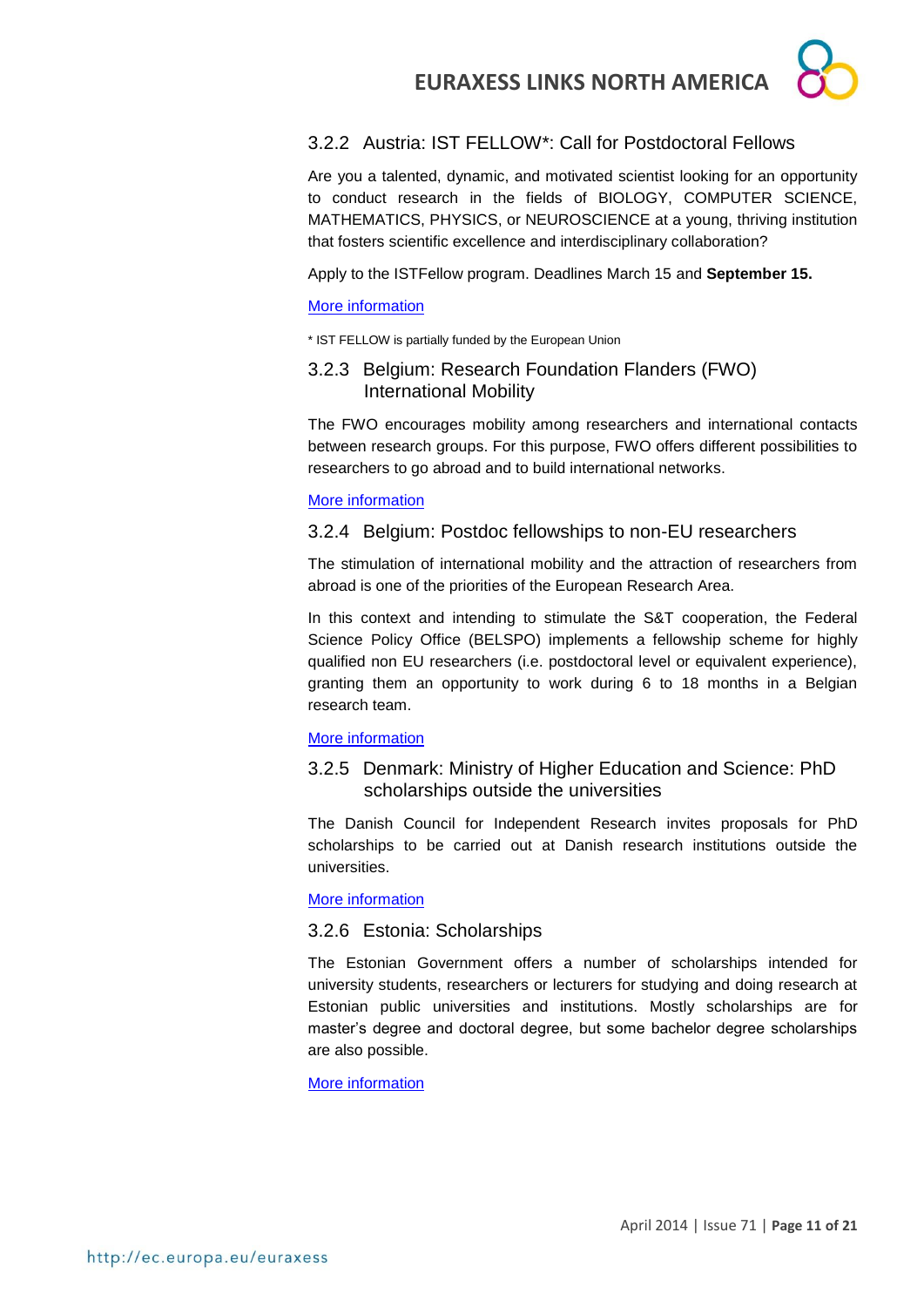# 3.2.2 Austria: IST FELLOW\*: Call for Postdoctoral Fellows

Are you a talented, dynamic, and motivated scientist looking for an opportunity to conduct research in the fields of BIOLOGY, COMPUTER SCIENCE, MATHEMATICS, PHYSICS, or NEUROSCIENCE at a young, thriving institution that fosters scientific excellence and interdisciplinary collaboration?

Apply to the ISTFellow program. Deadlines March 15 and **September 15.**

# [More information](http://www.ist.ac.at/istfellow)

\* IST FELLOW is partially funded by the European Union

# 3.2.3 Belgium: Research Foundation Flanders (FWO) International Mobility

The FWO encourages mobility among researchers and international contacts between research groups. For this purpose, FWO offers different possibilities to researchers to go abroad and to build international networks.

# [More information](http://www.fwo.be/en/fellowships-funding/international-mobility/)

# 3.2.4 Belgium: Postdoc fellowships to non-EU researchers

The stimulation of international mobility and the attraction of researchers from abroad is one of the priorities of the European Research Area.

In this context and intending to stimulate the S&T cooperation, the Federal Science Policy Office (BELSPO) implements a fellowship scheme for highly qualified non EU researchers (i.e. postdoctoral level or equivalent experience), granting them an opportunity to work during 6 to 18 months in a Belgian research team.

# [More information](http://www.belspo.be/belspo/organisation/call_postdoc_en.stm)

# 3.2.5 Denmark: Ministry of Higher Education and Science: PhD scholarships outside the universities

The Danish Council for Independent Research invites proposals for PhD scholarships to be carried out at Danish research institutions outside the universities.

## [More information](http://ufm.dk/en/research-and-innovation/funding-programmes-for-research-and-innovation/calls/2013/phd-scholarships-outside-the-universities)

# 3.2.6 Estonia: Scholarships

The Estonian Government offers a number of scholarships intended for university students, researchers or lecturers for studying and doing research at Estonian public universities and institutions. Mostly scholarships are for master's degree and doctoral degree, but some bachelor degree scholarships are also possible.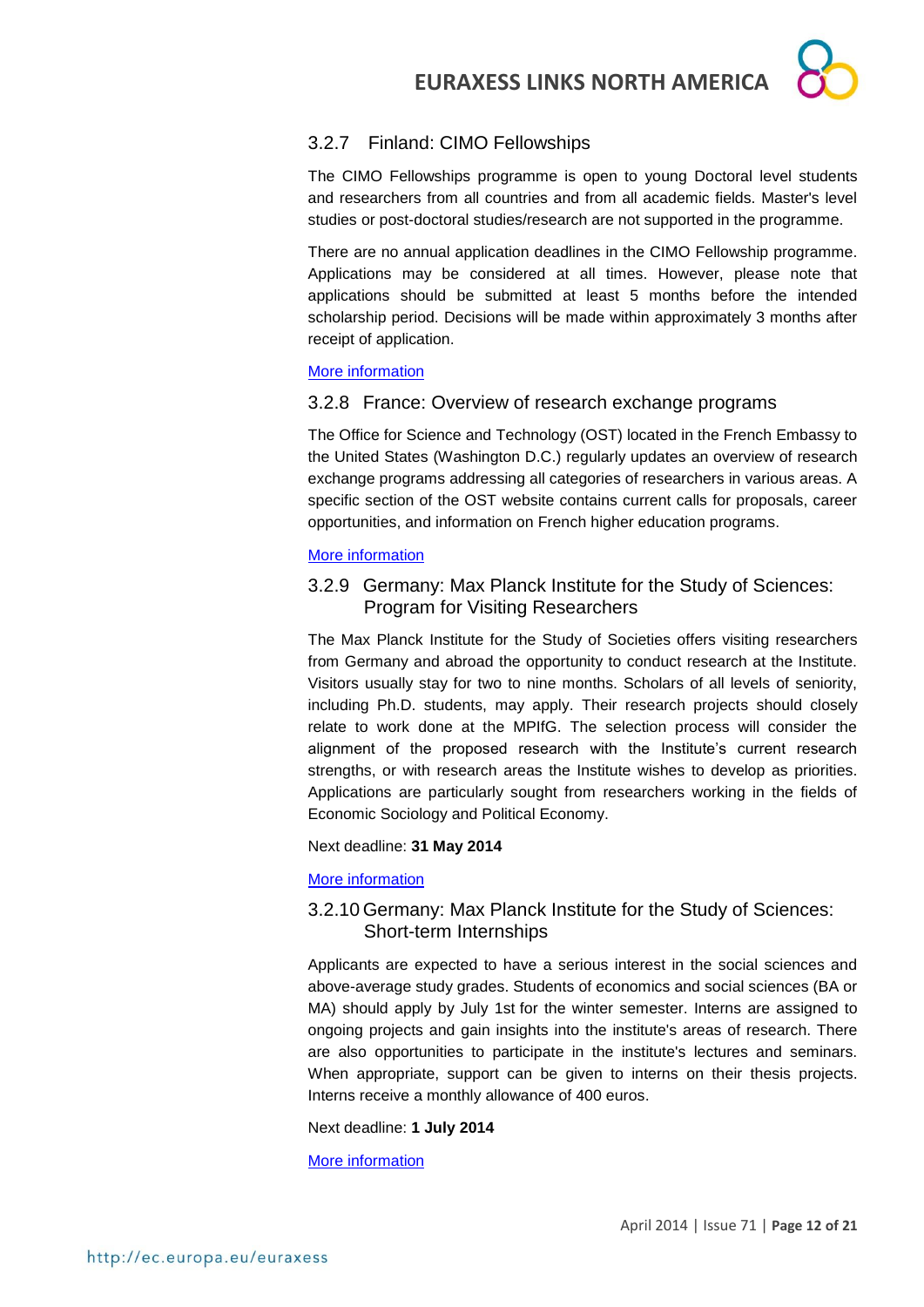

# 3.2.7 Finland: CIMO Fellowships

The CIMO Fellowships programme is open to young Doctoral level students and researchers from all countries and from all academic fields. Master's level studies or post-doctoral studies/research are not supported in the programme.

There are no annual application deadlines in the CIMO Fellowship programme. Applications may be considered at all times. However, please note that applications should be submitted at least 5 months before the intended scholarship period. Decisions will be made within approximately 3 months after receipt of application.

## [More information](http://www.studyinfinland.fi/tuition_and_scholarships/cimo_scholarships/cimo_fellowships)

## 3.2.8 France: Overview of research exchange programs

The Office for Science and Technology (OST) located in the French Embassy to the United States (Washington D.C.) regularly updates an overview of research exchange programs addressing all categories of researchers in various areas. A specific section of the OST website contains current calls for proposals, career opportunities, and information on French higher education programs.

## [More information](http://france-science.org/USA-France-Mobility-Schemes.html)

# 3.2.9 Germany: Max Planck Institute for the Study of Sciences: Program for Visiting Researchers

The Max Planck Institute for the Study of Societies offers visiting researchers from Germany and abroad the opportunity to conduct research at the Institute. Visitors usually stay for two to nine months. Scholars of all levels of seniority, including Ph.D. students, may apply. Their research projects should closely relate to work done at the MPIfG. The selection process will consider the alignment of the proposed research with the Institute's current research strengths, or with research areas the Institute wishes to develop as priorities. Applications are particularly sought from researchers working in the fields of Economic Sociology and Political Economy.

Next deadline: **31 May 2014**

### [More information](http://www.mpifg.de/aktuelles/ausschreibungen_en.asp#Post-Doc)

# 3.2.10 Germany: Max Planck Institute for the Study of Sciences: Short-term Internships

Applicants are expected to have a serious interest in the social sciences and above-average study grades. Students of economics and social sciences (BA or MA) should apply by July 1st for the winter semester. Interns are assigned to ongoing projects and gain insights into the institute's areas of research. There are also opportunities to participate in the institute's lectures and seminars. When appropriate, support can be given to interns on their thesis projects. Interns receive a monthly allowance of 400 euros.

Next deadline: **1 July 2014**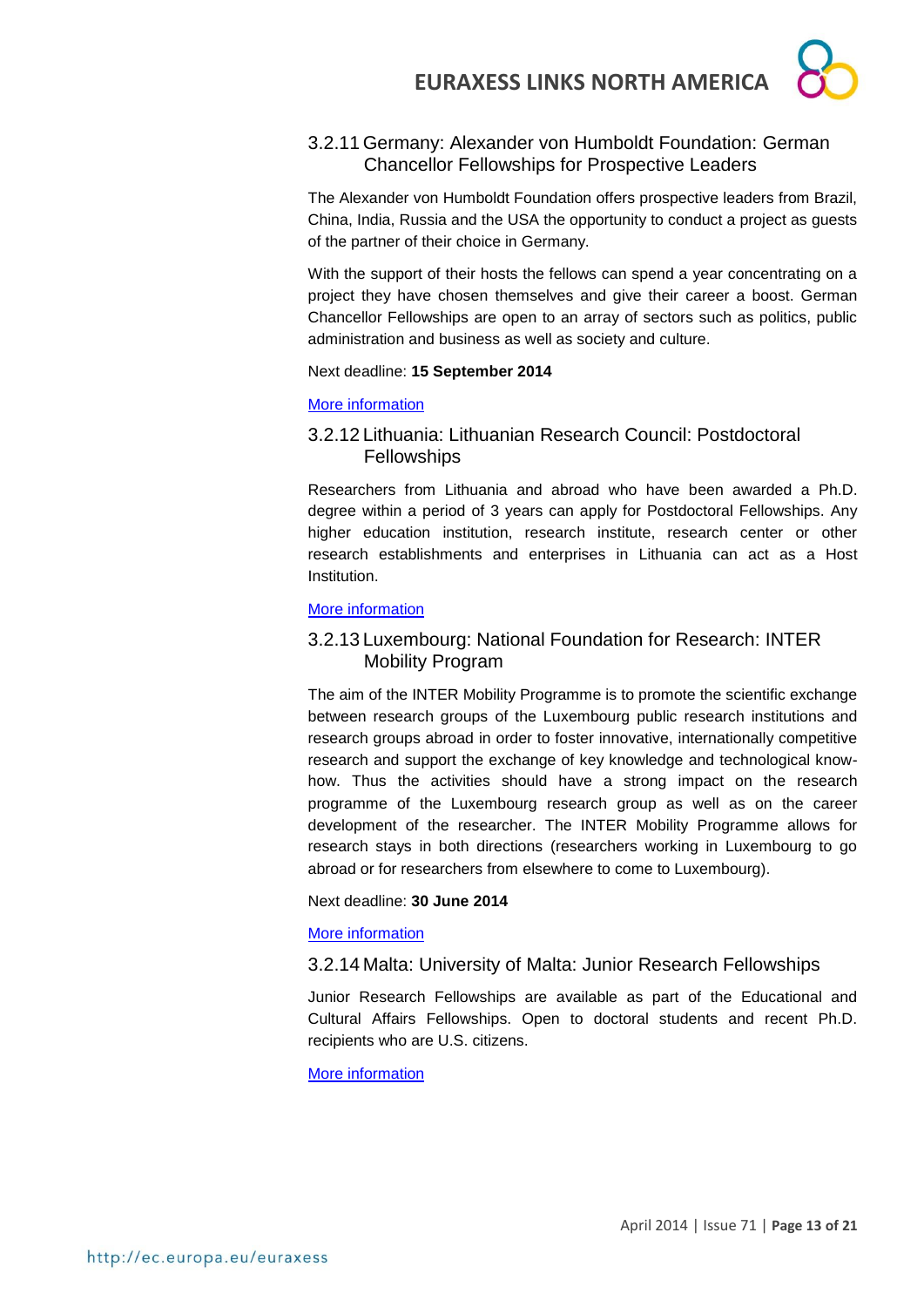# 3.2.11 Germany: Alexander von Humboldt Foundation: German Chancellor Fellowships for Prospective Leaders

The Alexander von Humboldt Foundation offers prospective leaders from Brazil, China, India, Russia and the USA the opportunity to conduct a project as guests of the partner of their choice in Germany.

With the support of their hosts the fellows can spend a year concentrating on a project they have chosen themselves and give their career a boost. German Chancellor Fellowships are open to an array of sectors such as politics, public administration and business as well as society and culture.

# Next deadline: **15 September 2014**

# [More information](http://www.humboldt-foundation.de/web/4074.html)

# 3.2.12 Lithuania: Lithuanian Research Council: Postdoctoral **Fellowships**

Researchers from Lithuania and abroad who have been awarded a Ph.D. degree within a period of 3 years can apply for Postdoctoral Fellowships. Any higher education institution, research institute, research center or other research establishments and enterprises in Lithuania can act as a Host **Institution** 

# [More information](http://www.lmt.lt/en/rnd/fellowships.html)

# 3.2.13 Luxembourg: National Foundation for Research: INTER Mobility Program

The aim of the INTER Mobility Programme is to promote the scientific exchange between research groups of the Luxembourg public research institutions and research groups abroad in order to foster innovative, internationally competitive research and support the exchange of key knowledge and technological knowhow. Thus the activities should have a strong impact on the research programme of the Luxembourg research group as well as on the career development of the researcher. The INTER Mobility Programme allows for research stays in both directions (researchers working in Luxembourg to go abroad or for researchers from elsewhere to come to Luxembourg).

## Next deadline: **30 June 2014**

# [More information](http://www.fnr.lu/en/Research-Programmes/Research-Programmes/Calls/INTER-Mobility-Programme-Call-for-Proposals)

# 3.2.14 Malta: University of Malta: Junior Research Fellowships

Junior Research Fellowships are available as part of the Educational and Cultural Affairs Fellowships. Open to doctoral students and recent Ph.D. recipients who are U.S. citizens.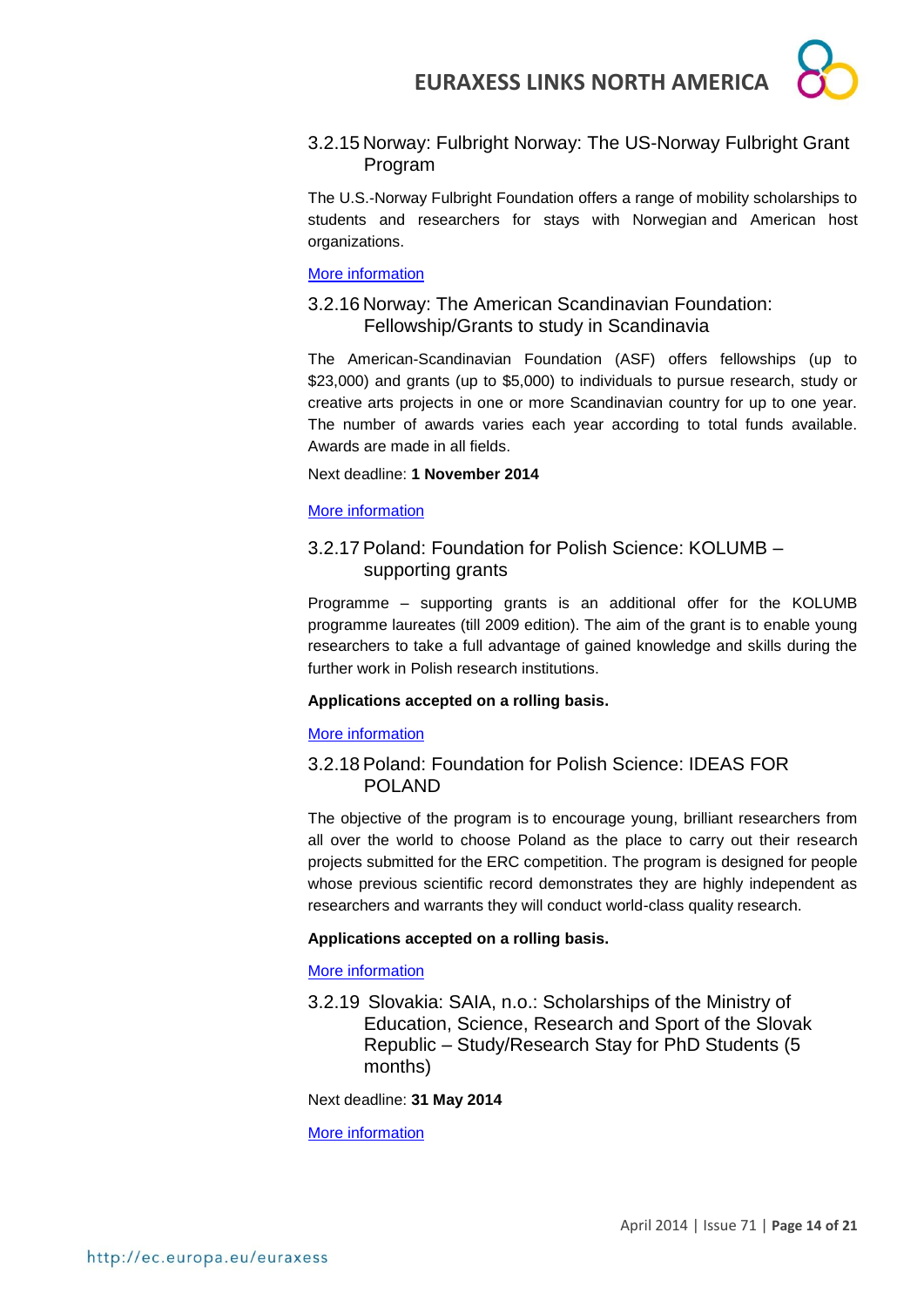# 3.2.15 Norway: Fulbright Norway: The US-Norway Fulbright Grant Program

The U.S.-Norway Fulbright Foundation offers a range of mobility scholarships to students and researchers for stays with Norwegian and American host organizations.

## [More information](http://www.fulbright.no/en/grants/)

# 3.2.16 Norway: The American Scandinavian Foundation: Fellowship/Grants to study in Scandinavia

The American-Scandinavian Foundation (ASF) offers fellowships (up to \$23,000) and grants (up to \$5,000) to individuals to pursue research, study or creative arts projects in one or more Scandinavian country for up to one year. The number of awards varies each year according to total funds available. Awards are made in all fields.

## Next deadline: **1 November 2014**

# [More information](http://www.amscan.org/study_scandinavia_details.html)

# 3.2.17 Poland: Foundation for Polish Science: KOLUMB – supporting grants

Programme – supporting grants is an additional offer for the KOLUMB programme laureates (till 2009 edition). The aim of the grant is to enable young researchers to take a full advantage of gained knowledge and skills during the further work in Polish research institutions.

## **Applications accepted on a rolling basis.**

## [More information](http://www.fnp.org.pl/en/oferta/kolumb-granty-wspomagajace/)

# 3.2.18 Poland: Foundation for Polish Science: IDEAS FOR POLAND

The objective of the program is to encourage young, brilliant researchers from all over the world to choose Poland as the place to carry out their research projects submitted for the ERC competition. The program is designed for people whose previous scientific record demonstrates they are highly independent as researchers and warrants they will conduct world-class quality research.

# **Applications accepted on a rolling basis.**

## [More information](http://www.fnp.org.pl/en/oferta/ideas-for-poland/)

3.2.19 Slovakia: SAIA, n.o.: Scholarships of the Ministry of Education, Science, Research and Sport of the Slovak Republic – Study/Research Stay for PhD Students (5 months)

## Next deadline: **31 May 2014**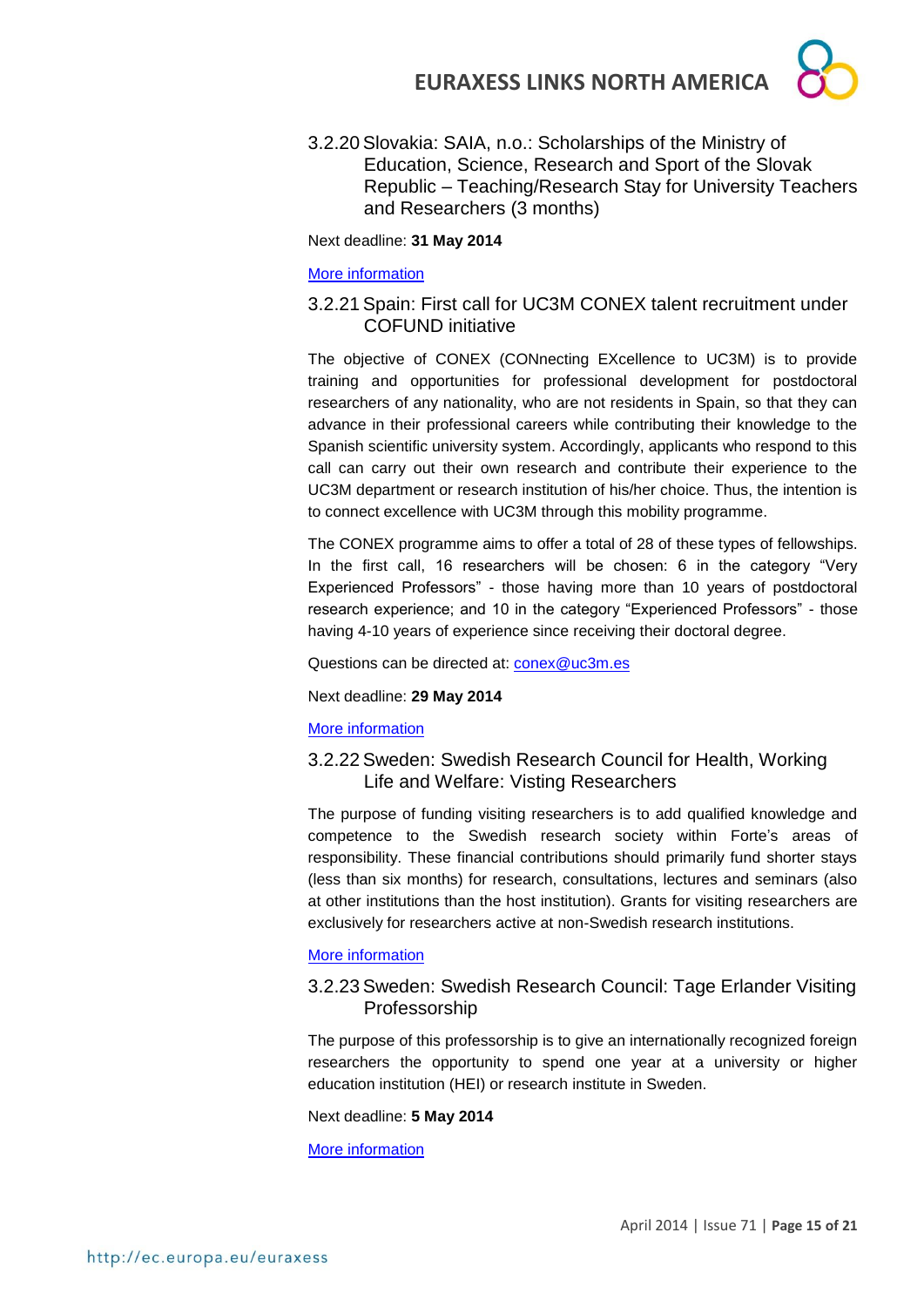3.2.20 Slovakia: SAIA, n.o.: Scholarships of the Ministry of Education, Science, Research and Sport of the Slovak Republic – Teaching/Research Stay for University Teachers and Researchers (3 months)

Next deadline: **31 May 2014**

### [More information](http://grants.saia.sk/Pages/ProgramDetail.aspx?Program=536)

# 3.2.21 Spain: First call for UC3M CONEX talent recruitment under COFUND initiative

The objective of CONEX (CONnecting EXcellence to UC3M) is to provide training and opportunities for professional development for postdoctoral researchers of any nationality, who are not residents in Spain, so that they can advance in their professional careers while contributing their knowledge to the Spanish scientific university system. Accordingly, applicants who respond to this call can carry out their own research and contribute their experience to the UC3M department or research institution of his/her choice. Thus, the intention is to connect excellence with UC3M through this mobility programme.

The CONEX programme aims to offer a total of 28 of these types of fellowships. In the first call, 16 researchers will be chosen: 6 in the category "Very Experienced Professors" - those having more than 10 years of postdoctoral research experience; and 10 in the category "Experienced Professors" - those having 4-10 years of experience since receiving their doctoral degree.

Questions can be directed at: [conex@uc3m.es](mailto:conex@uc3m.es)

Next deadline: **29 May 2014**

## [More information](http://portal.uc3m.es/portal/page/portal/investigacion/Conex/first_call_applications)

# 3.2.22 Sweden: Swedish Research Council for Health, Working Life and Welfare: Visting Researchers

The purpose of funding visiting researchers is to add qualified knowledge and competence to the Swedish research society within Forte's areas of responsibility. These financial contributions should primarily fund shorter stays (less than six months) for research, consultations, lectures and seminars (also at other institutions than the host institution). Grants for visiting researchers are exclusively for researchers active at non-Swedish research institutions.

## [More information](http://www.forte.se/en/Calls-for-proposals/Open-calls/Visiting-researchers/)

# 3.2.23 Sweden: Swedish Research Council: Tage Erlander Visiting Professorship

The purpose of this professorship is to give an internationally recognized foreign researchers the opportunity to spend one year at a university or higher education institution (HEI) or research institute in Sweden.

Next deadline: **5 May 2014**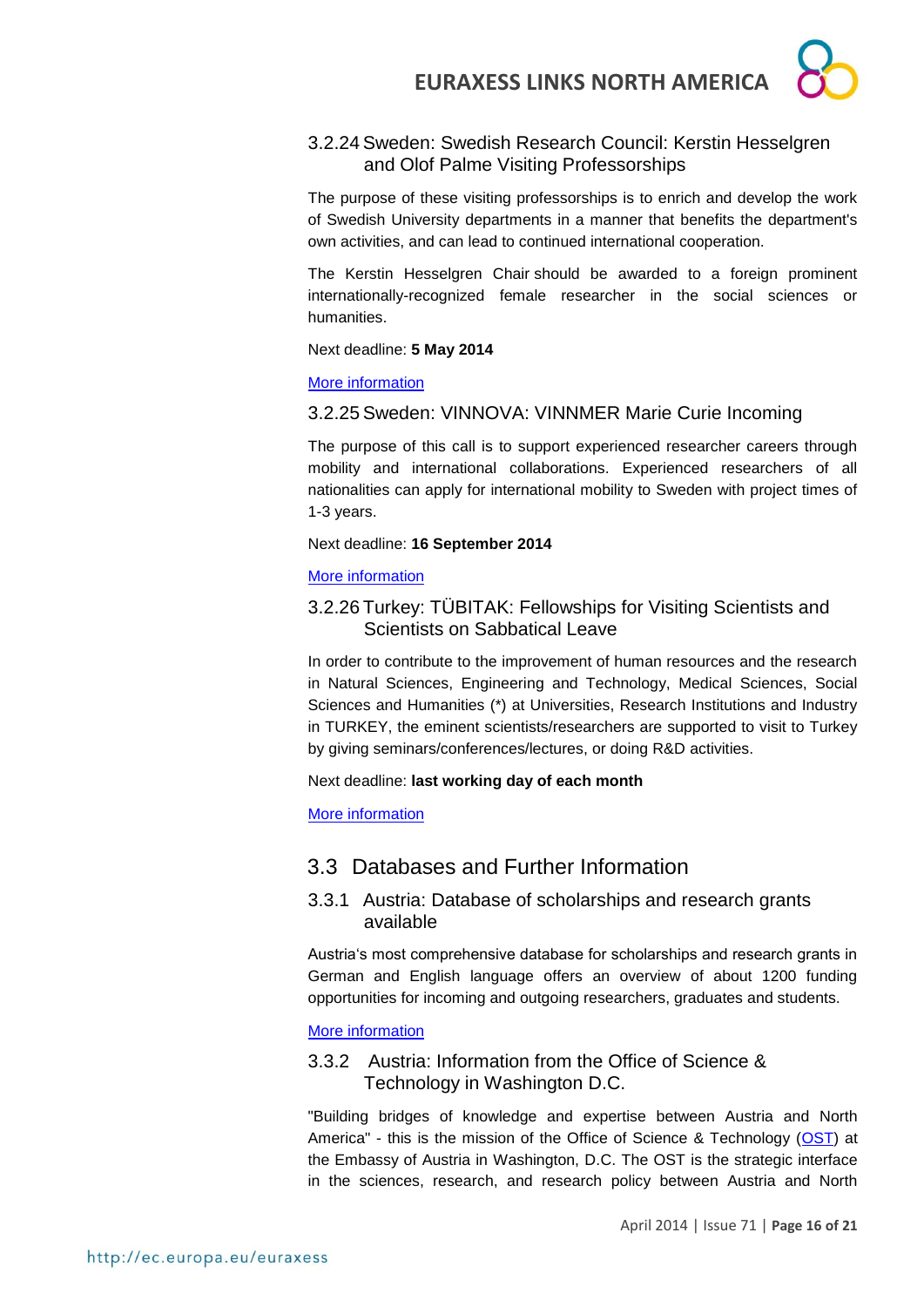# 3.2.24 Sweden: Swedish Research Council: Kerstin Hesselgren and Olof Palme Visiting Professorships

The purpose of these visiting professorships is to enrich and develop the work of Swedish University departments in a manner that benefits the department's own activities, and can lead to continued international cooperation.

The Kerstin Hesselgren Chair should be awarded to a foreign prominent internationally-recognized female researcher in the social sciences or humanities.

Next deadline: **5 May 2014**

[More information](http://www.vr.se/inenglish/researchfunding/applyforgrants/callforproposals/opengrants/kerstinhesselgrenandolofpalmevisitingprofessorships.5.7e727b6e141e9ed702b13afe.html)

# 3.2.25 Sweden: VINNOVA: VINNMER Marie Curie Incoming

The purpose of this call is to support experienced researcher careers through mobility and international collaborations. Experienced researchers of all nationalities can apply for international mobility to Sweden with project times of 1-3 years.

## Next deadline: **16 September 2014**

# [More information](http://www.vinnova.se/sv/Ansoka-och-rapportera/Utlysningar/Effekta/VINNMER-Marie-Curie-Incoming/)

# 3.2.26 Turkey: TÜBITAK: Fellowships for Visiting Scientists and Scientists on Sabbatical Leave

In order to contribute to the improvement of human resources and the research in Natural Sciences, Engineering and Technology, Medical Sciences, Social Sciences and Humanities (\*) at Universities, Research Institutions and Industry in TURKEY, the eminent scientists/researchers are supported to visit to Turkey by giving seminars/conferences/lectures, or doing R&D activities.

Next deadline: **last working day of each month**

[More information](http://www.tubitak.gov.tr/en/scholarship/postdoctoral/international-programmes/content-2221-fellowships-for-visiting-scientists-and-scientists-on-sabbatical-leave)

# 3.3 Databases and Further Information

# 3.3.1 Austria: Database of scholarships and research grants available

Austria's most comprehensive database for scholarships and research grants in German and English language offers an overview of about 1200 funding opportunities for incoming and outgoing researchers, graduates and students.

# [More information](http://www.oead.at/index.php?id=737&L=1)

# 3.3.2 Austria: Information from the Office of Science & Technology in Washington D.C.

"Building bridges of knowledge and expertise between Austria and North America" - this is the mission of the Office of Science & Technology [\(OST\)](http://www.ostina.org/) at the Embassy of Austria in Washington, D.C. The OST is the strategic interface in the sciences, research, and research policy between Austria and North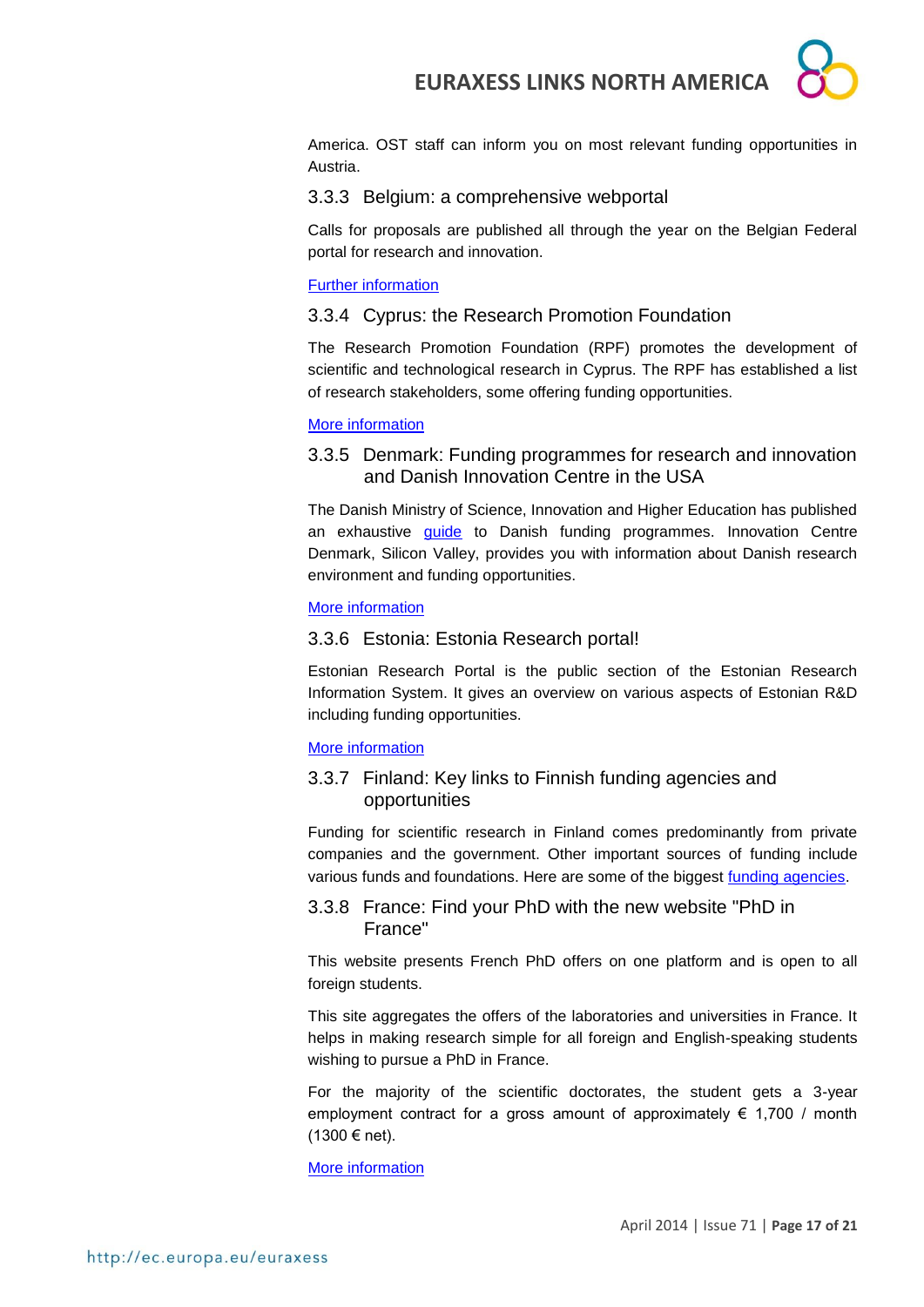America. OST staff can inform you on most relevant funding opportunities in Austria.

# 3.3.3 Belgium: a comprehensive webportal

Calls for proposals are published all through the year on the Belgian Federal portal for research and innovation.

### [Further information](http://www.research.be/ListURL/list.asp?KeyId=623&up=619)

# 3.3.4 Cyprus: the Research Promotion Foundation

The Research Promotion Foundation (RPF) promotes the development of scientific and technological research in Cyprus. The RPF has established a list of research stakeholders, some offering funding opportunities.

### [More information](http://www.research.org.cy/EN/user_info/useful_websites.html)

3.3.5 Denmark: Funding programmes for research and innovation and Danish Innovation Centre in the USA

The Danish Ministry of Science, Innovation and Higher Education has published an exhaustive *[guide](http://fivu.dk/en/research-and-innovation/funding-programmes-for-research-and-innovation/guide-to-funding)* to Danish funding programmes. Innovation Centre Denmark, Silicon Valley, provides you with information about Danish research environment and funding opportunities.

### [More information](http://icdk.um.dk/en/about-us/innovationcentres/siliconvalley/)

# 3.3.6 Estonia: Estonia Research portal!

Estonian Research Portal is the public section of the Estonian Research Information System. It gives an overview on various aspects of Estonian R&D including funding opportunities.

## [More information](https://www.etis.ee/index.aspx?lang=en)

# 3.3.7 Finland: Key links to Finnish funding agencies and opportunities

Funding for scientific research in Finland comes predominantly from private companies and the government. Other important sources of funding include various funds and foundations. Here are some of the biggest [funding agencies.](http://www.aka.fi/en-GB/Mobility/Research-funding2/)

# 3.3.8 France: Find your PhD with the new website "PhD in France"

This website presents French PhD offers on one platform and is open to all foreign students.

This site aggregates the offers of the laboratories and universities in France. It helps in making research simple for all foreign and English-speaking students wishing to pursue a PhD in France.

For the majority of the scientific doctorates, the student gets a 3-year employment contract for a gross amount of approximately  $\epsilon$  1,700 / month (1300 € net).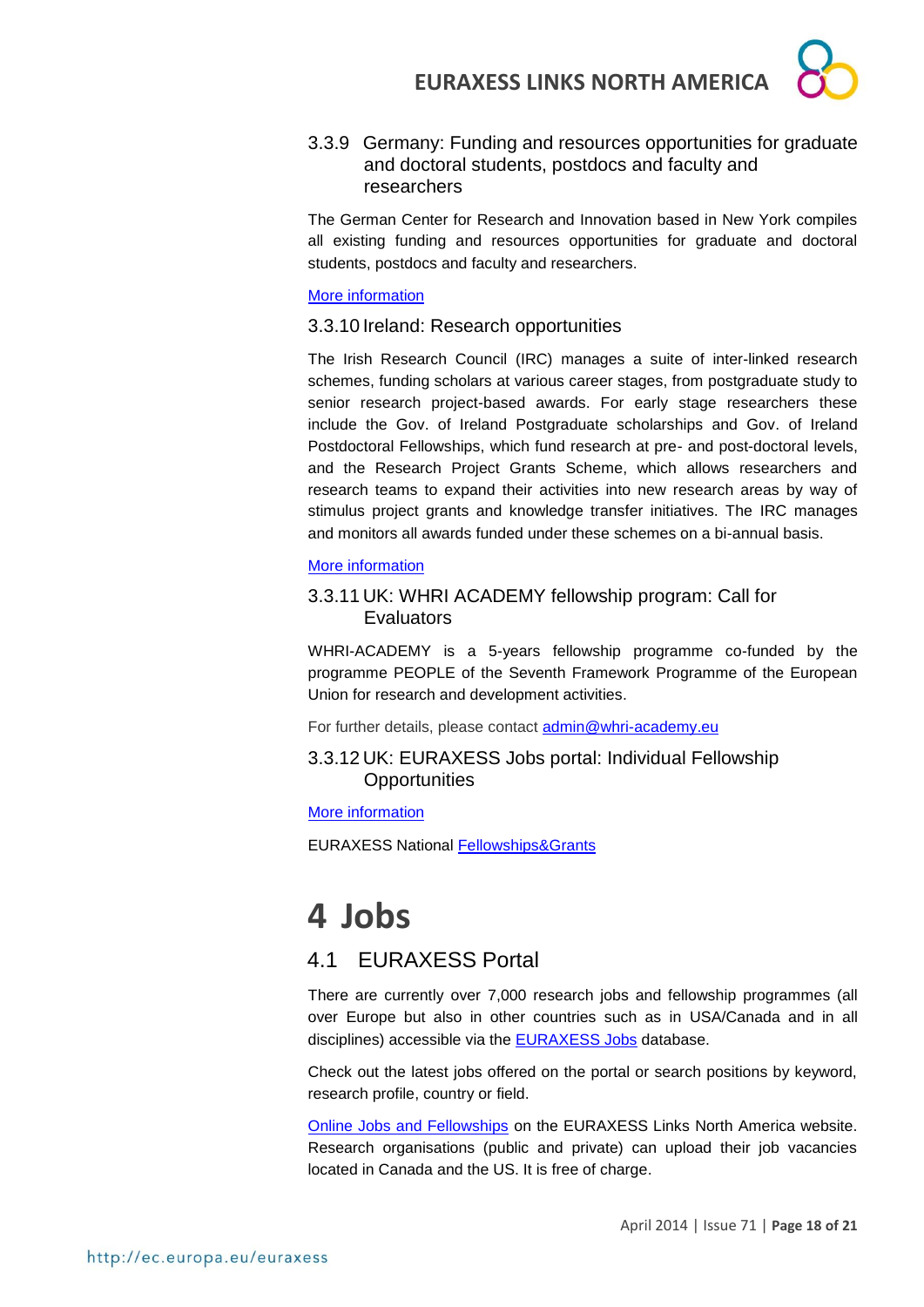

3.3.9 Germany: Funding and resources opportunities for graduate and doctoral students, postdocs and faculty and researchers

The German Center for Research and Innovation based in New York compiles all existing funding and resources opportunities for graduate and doctoral students, postdocs and faculty and researchers.

### [More information](http://www.germaninnovation.org/resources/faculty-and-researchers)

3.3.10 Ireland: Research opportunities

The Irish Research Council (IRC) manages a suite of inter-linked research schemes, funding scholars at various career stages, from postgraduate study to senior research project-based awards. For early stage researchers these include the Gov. of Ireland Postgraduate scholarships and Gov. of Ireland Postdoctoral Fellowships, which fund research at pre- and post-doctoral levels, and the Research Project Grants Scheme, which allows researchers and research teams to expand their activities into new research areas by way of stimulus project grants and knowledge transfer initiatives. The IRC manages and monitors all awards funded under these schemes on a bi-annual basis.

### [More information](http://www.research.ie/funding-opportunities)

# 3.3.11 UK: WHRI ACADEMY fellowship program: Call for **Evaluators**

WHRI-ACADEMY is a 5-years fellowship programme co-funded by the programme PEOPLE of the Seventh Framework Programme of the European Union for research and development activities.

For further details, please contact [admin@whri-academy.eu](mailto:admin@whri-academy.eu)

3.3.12 UK: EURAXESS Jobs portal: Individual Fellowship **Opportunities** 

### [More information](http://ec.europa.eu/euraxess/index.cfm/jobs/fgNationalLevel/careerStage/0/country/1379/researchField/0/page/1)

EURAXESS National [Fellowships&Grants](http://ec.europa.eu/euraxess/index.cfm/jobs/fgNationalLevel)

# **4 Jobs**

# 4.1 EURAXESS Portal

There are currently over 7,000 research jobs and fellowship programmes (all over Europe but also in other countries such as in USA/Canada and in all disciplines) accessible via the **EURAXESS Jobs** database.

Check out the latest jobs offered on the portal or search positions by keyword, research profile, country or field.

[Online Jobs and Fellowships](http://ec.europa.eu/euraxess/index.cfm/links/eurRes/north_america) on the EURAXESS Links North America website. Research organisations (public and private) can upload their job vacancies located in Canada and the US. It is free of charge.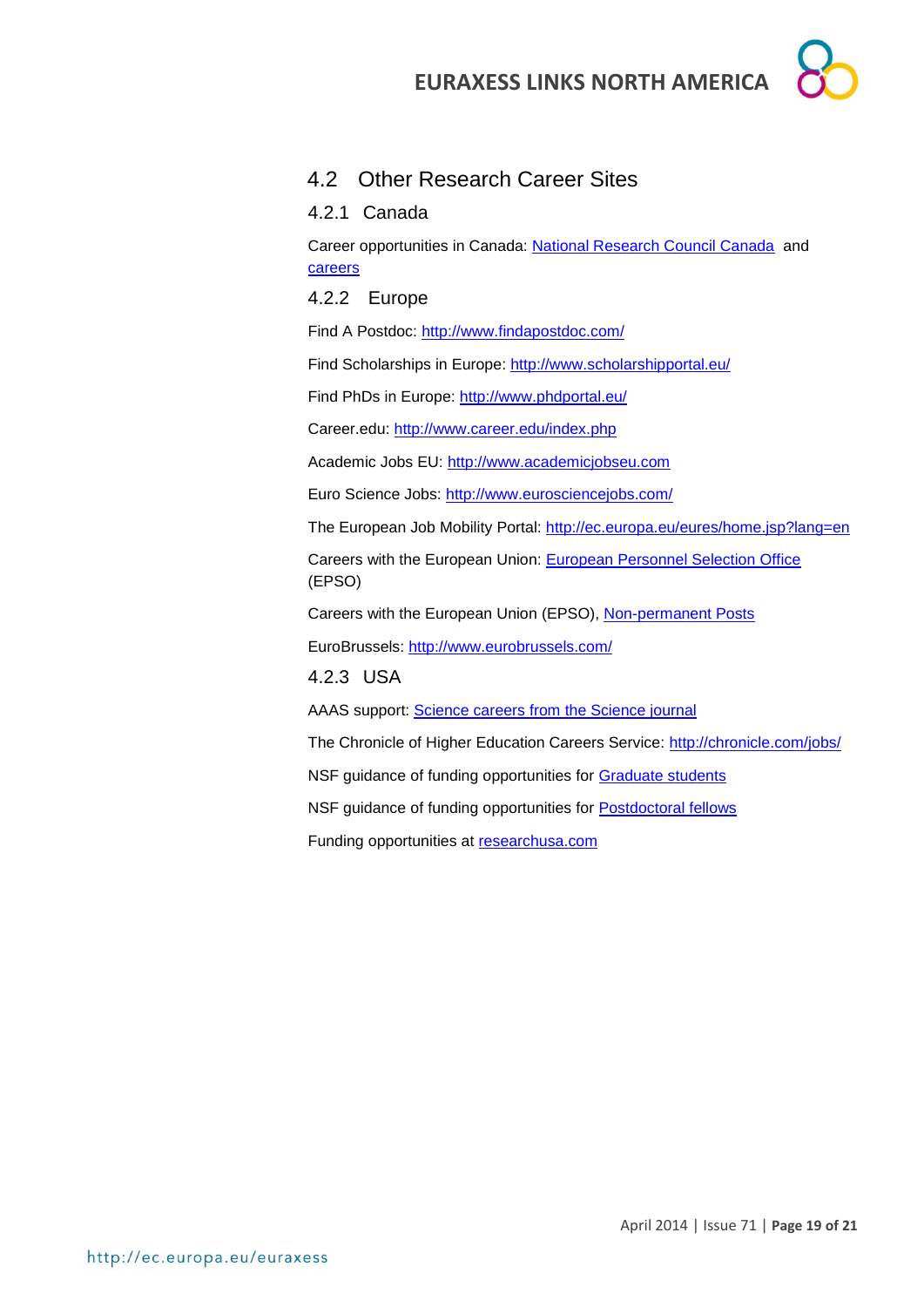

# 4.2 Other Research Career Sites

4.2.1 Canada

Career opportunities in Canada: [National Research Council Canada](http://www.nrc-cnrc.gc.ca/eng/careers/index.html) and [careers](http://oraweb.aucc.ca/pls/ua/ua_re)

4.2.2 Europe

Find A Postdoc:<http://www.findapostdoc.com/>

Find Scholarships in Europe:<http://www.scholarshipportal.eu/>

Find PhDs in Europe:<http://www.phdportal.eu/>

Career.edu:<http://www.career.edu/index.php>

Academic Jobs EU: [http://www.academicjobseu.com](http://www.academicjobseu.com/)

Euro Science Jobs:<http://www.eurosciencejobs.com/>

The European Job Mobility Portal:<http://ec.europa.eu/eures/home.jsp?lang=en>

Careers with the European Union: [European Personnel Selection Office](http://europa.eu/epso/index_en.htm) (EPSO)

Careers with the European Union (EPSO), [Non-permanent Posts](http://europa.eu/epso/apply/today/temporary_en.htm)

EuroBrussels:<http://www.eurobrussels.com/>

4.2.3 USA

AAAS support: [Science careers from the Science journal](http://sciencecareers.sciencemag.org/)

The Chronicle of Higher Education Careers Service:<http://chronicle.com/jobs/>

NSF guidance of funding opportunities for [Graduate students](http://www.nsf.gov/funding/education.jsp?fund_type=2)

NSF guidance of funding opportunities for [Postdoctoral fellows](http://www.nsf.gov/funding/education.jsp?fund_type=3)

Funding opportunities at [researchusa.com](http://www.researchresearch.com/index.php?option=com_content&view=article&id=21&Itemid=21)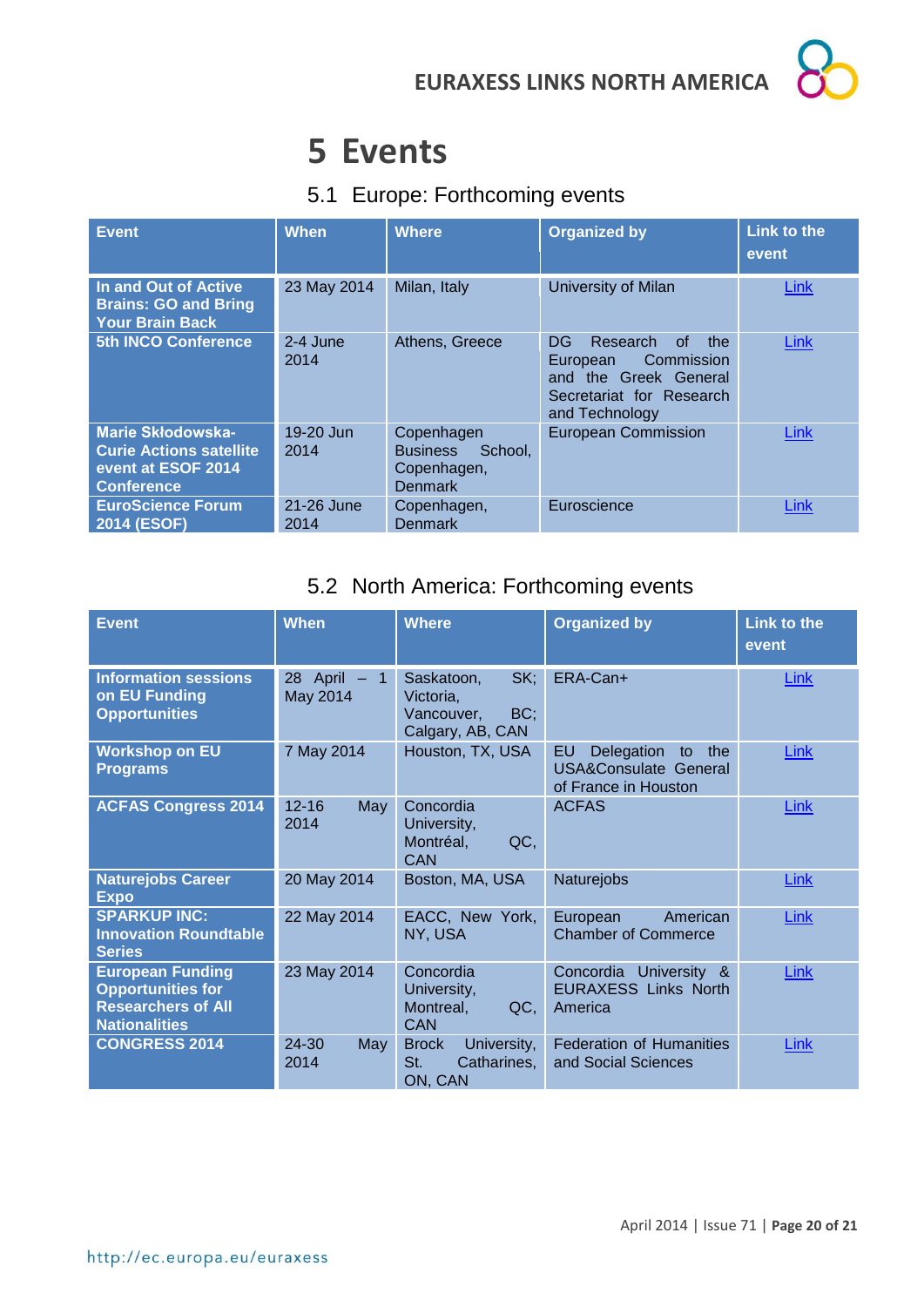# **5 Events**

# 5.1 Europe: Forthcoming events

| <b>Event</b>                                                                                          | <b>When</b>        | <b>Where</b>                                                              | <b>Organized by</b>                                                                                                                      | <b>Link to the</b><br>event |
|-------------------------------------------------------------------------------------------------------|--------------------|---------------------------------------------------------------------------|------------------------------------------------------------------------------------------------------------------------------------------|-----------------------------|
| In and Out of Active<br><b>Brains: GO and Bring</b><br><b>Your Brain Back</b>                         | 23 May 2014        | Milan, Italy                                                              | University of Milan                                                                                                                      | Link                        |
| <b>5th INCO Conference</b>                                                                            | 2-4 June<br>2014   | Athens, Greece                                                            | DG.<br>Research<br><sub>of</sub><br>the<br>Commission<br>European<br>and the Greek General<br>Secretariat for Research<br>and Technology | Link                        |
| <b>Marie Skłodowska-</b><br><b>Curie Actions satellite</b><br>event at ESOF 2014<br><b>Conference</b> | 19-20 Jun<br>2014  | Copenhagen<br>School.<br><b>Business</b><br>Copenhagen,<br><b>Denmark</b> | <b>European Commission</b>                                                                                                               | <b>Link</b>                 |
| <b>EuroScience Forum</b><br>2014 (ESOF)                                                               | 21-26 June<br>2014 | Copenhagen,<br><b>Denmark</b>                                             | Euroscience                                                                                                                              | Link                        |

# 5.2 North America: Forthcoming events

| <b>Event</b>                                                                                             | <b>When</b>                               | <b>Where</b>                                                            | <b>Organized by</b>                                                                       | <b>Link to the</b><br>event |
|----------------------------------------------------------------------------------------------------------|-------------------------------------------|-------------------------------------------------------------------------|-------------------------------------------------------------------------------------------|-----------------------------|
| <b>Information sessions</b><br>on EU Funding<br><b>Opportunities</b>                                     | April –<br>28<br>$\mathbf{1}$<br>May 2014 | SK;<br>Saskatoon,<br>Victoria,<br>BC;<br>Vancouver,<br>Calgary, AB, CAN | ERA-Can+                                                                                  | Link                        |
| <b>Workshop on EU</b><br><b>Programs</b>                                                                 | 7 May 2014                                | Houston, TX, USA                                                        | EU<br>Delegation<br>the<br>to<br><b>USA&amp;Consulate General</b><br>of France in Houston | <b>Link</b>                 |
| <b>ACFAS Congress 2014</b>                                                                               | $12 - 16$<br>May<br>2014                  | Concordia<br>University,<br>QC,<br>Montréal,<br><b>CAN</b>              | <b>ACFAS</b>                                                                              | <b>Link</b>                 |
| <b>Naturejobs Career</b><br><b>Expo</b>                                                                  | 20 May 2014                               | Boston, MA, USA                                                         | Naturejobs                                                                                | <b>Link</b>                 |
| <b>SPARKUP INC:</b><br><b>Innovation Roundtable</b><br><b>Series</b>                                     | 22 May 2014                               | EACC, New York,<br>NY, USA                                              | American<br>European<br><b>Chamber of Commerce</b>                                        | <b>Link</b>                 |
| <b>European Funding</b><br><b>Opportunities for</b><br><b>Researchers of All</b><br><b>Nationalities</b> | 23 May 2014                               | Concordia<br>University,<br>QC,<br>Montreal,<br><b>CAN</b>              | Concordia<br>University &<br><b>EURAXESS Links North</b><br>America                       | Link                        |
| <b>CONGRESS 2014</b>                                                                                     | 24-30<br>May<br>2014                      | University,<br><b>Brock</b><br>St.<br>Catharines,<br>ON, CAN            | <b>Federation of Humanities</b><br>and Social Sciences                                    | <b>Link</b>                 |